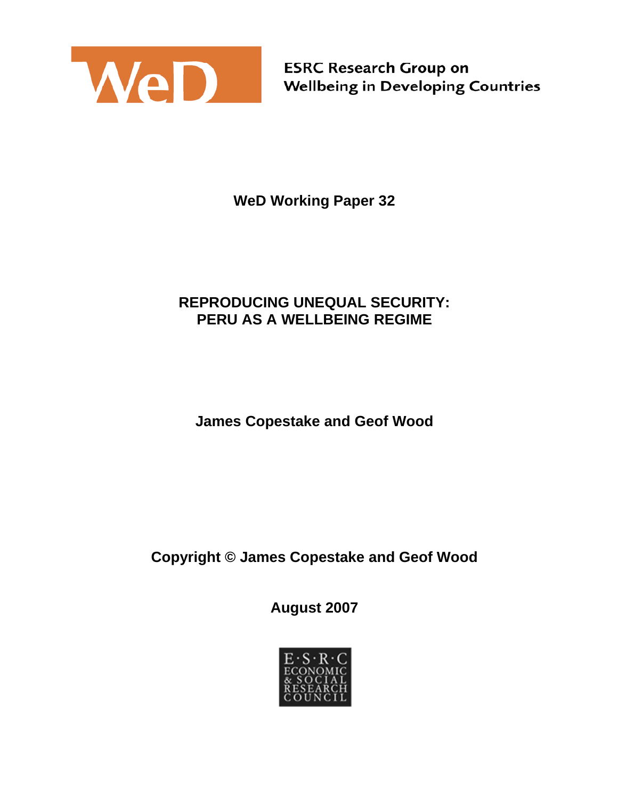

**ESRC Research Group on Wellbeing in Developing Countries** 

**WeD Working Paper 32** 

## **REPRODUCING UNEQUAL SECURITY: PERU AS A WELLBEING REGIME**

**James Copestake and Geof Wood** 

**Copyright © James Copestake and Geof Wood**

**August 2007** 

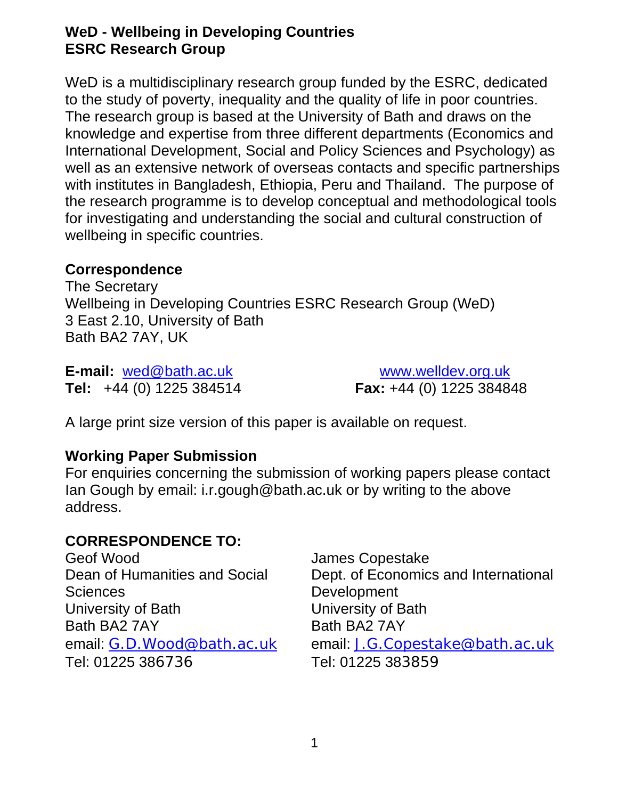### **WeD - Wellbeing in Developing Countries ESRC Research Group**

WeD is a multidisciplinary research group funded by the ESRC, dedicated to the study of poverty, inequality and the quality of life in poor countries. The research group is based at the University of Bath and draws on the knowledge and expertise from three different departments (Economics and International Development, Social and Policy Sciences and Psychology) as well as an extensive network of overseas contacts and specific partnerships with institutes in Bangladesh, Ethiopia, Peru and Thailand. The purpose of the research programme is to develop conceptual and methodological tools for investigating and understanding the social and cultural construction of wellbeing in specific countries.

#### **Correspondence**

The Secretary Wellbeing in Developing Countries ESRC Research Group (WeD) 3 East 2.10, University of Bath Bath BA2 7AY, UK

#### **E-mail:** wed@bath.ac.uk www.welldev.org.uk

**Tel:** +44 (0) 1225 384514 **Fax:** +44 (0) 1225 384848

A large print size version of this paper is available on request.

### **Working Paper Submission**

For enquiries concerning the submission of working papers please contact Ian Gough by email: i.r.gough@bath.ac.uk or by writing to the above address.

### **CORRESPONDENCE TO:**

Geof Wood Dean of Humanities and Social **Sciences** University of Bath Bath BA2 7AY email: G.D.Wood@bath.ac.uk Tel: 01225 386736

James Copestake Dept. of Economics and International Development University of Bath Bath BA2 7AY email: J.G.Copestake@bath.ac.uk Tel: 01225 383859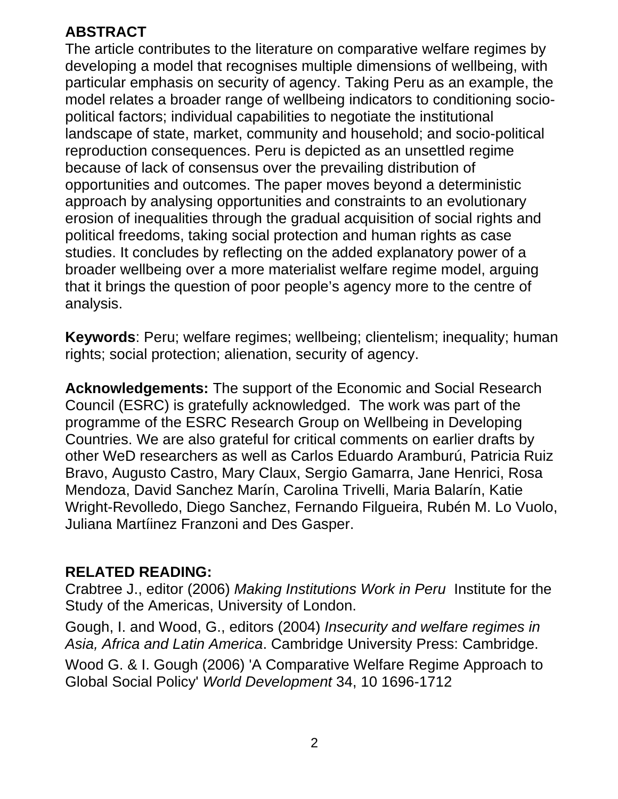## **ABSTRACT**

The article contributes to the literature on comparative welfare regimes by developing a model that recognises multiple dimensions of wellbeing, with particular emphasis on security of agency. Taking Peru as an example, the model relates a broader range of wellbeing indicators to conditioning sociopolitical factors; individual capabilities to negotiate the institutional landscape of state, market, community and household; and socio-political reproduction consequences. Peru is depicted as an unsettled regime because of lack of consensus over the prevailing distribution of opportunities and outcomes. The paper moves beyond a deterministic approach by analysing opportunities and constraints to an evolutionary erosion of inequalities through the gradual acquisition of social rights and political freedoms, taking social protection and human rights as case studies. It concludes by reflecting on the added explanatory power of a broader wellbeing over a more materialist welfare regime model, arguing that it brings the question of poor people's agency more to the centre of analysis.

**Keywords**: Peru; welfare regimes; wellbeing; clientelism; inequality; human rights; social protection; alienation, security of agency.

**Acknowledgements:** The support of the Economic and Social Research Council (ESRC) is gratefully acknowledged. The work was part of the programme of the ESRC Research Group on Wellbeing in Developing Countries. We are also grateful for critical comments on earlier drafts by other WeD researchers as well as Carlos Eduardo Aramburú, Patricia Ruiz Bravo, Augusto Castro, Mary Claux, Sergio Gamarra, Jane Henrici, Rosa Mendoza, David Sanchez Marín, Carolina Trivelli, Maria Balarín, Katie Wright-Revolledo, Diego Sanchez, Fernando Filgueira, Rubén M. Lo Vuolo, Juliana Martíinez Franzoni and Des Gasper.

### **RELATED READING:**

Crabtree J., editor (2006) *Making Institutions Work in Peru* Institute for the Study of the Americas, University of London.

Gough, I. and Wood, G., editors (2004) *Insecurity and welfare regimes in Asia, Africa and Latin America*. Cambridge University Press: Cambridge. Wood G. & I. Gough (2006) 'A Comparative Welfare Regime Approach to Global Social Policy' *World Development* 34, 10 1696-1712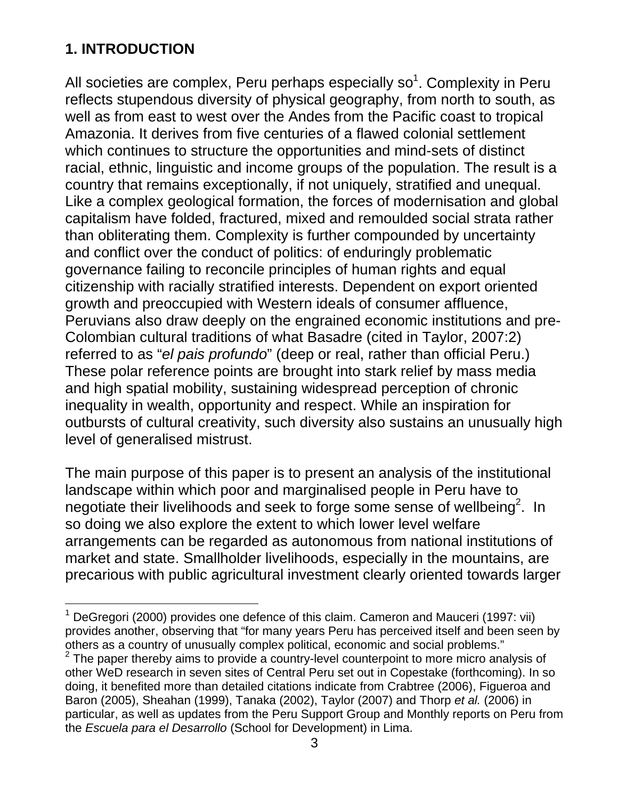## **1. INTRODUCTION**

 $\overline{a}$ 

All societies are complex, Peru perhaps especially so<sup>1</sup>. Complexity in Peru reflects stupendous diversity of physical geography, from north to south, as well as from east to west over the Andes from the Pacific coast to tropical Amazonia. It derives from five centuries of a flawed colonial settlement which continues to structure the opportunities and mind-sets of distinct racial, ethnic, linguistic and income groups of the population. The result is a country that remains exceptionally, if not uniquely, stratified and unequal. Like a complex geological formation, the forces of modernisation and global capitalism have folded, fractured, mixed and remoulded social strata rather than obliterating them. Complexity is further compounded by uncertainty and conflict over the conduct of politics: of enduringly problematic governance failing to reconcile principles of human rights and equal citizenship with racially stratified interests. Dependent on export oriented growth and preoccupied with Western ideals of consumer affluence, Peruvians also draw deeply on the engrained economic institutions and pre-Colombian cultural traditions of what Basadre (cited in Taylor, 2007:2) referred to as "*el pais profundo*" (deep or real, rather than official Peru.) These polar reference points are brought into stark relief by mass media and high spatial mobility, sustaining widespread perception of chronic inequality in wealth, opportunity and respect. While an inspiration for outbursts of cultural creativity, such diversity also sustains an unusually high level of generalised mistrust.

The main purpose of this paper is to present an analysis of the institutional landscape within which poor and marginalised people in Peru have to negotiate their livelihoods and seek to forge some sense of wellbeing<sup>2</sup>. In so doing we also explore the extent to which lower level welfare arrangements can be regarded as autonomous from national institutions of market and state. Smallholder livelihoods, especially in the mountains, are precarious with public agricultural investment clearly oriented towards larger

<sup>1</sup> DeGregori (2000) provides one defence of this claim. Cameron and Mauceri (1997: vii) provides another, observing that "for many years Peru has perceived itself and been seen by others as a country of unusually complex political, economic and social problems." 2

 $2$  The paper thereby aims to provide a country-level counterpoint to more micro analysis of other WeD research in seven sites of Central Peru set out in Copestake (forthcoming). In so doing, it benefited more than detailed citations indicate from Crabtree (2006), Figueroa and Baron (2005), Sheahan (1999), Tanaka (2002), Taylor (2007) and Thorp *et al.* (2006) in particular, as well as updates from the Peru Support Group and Monthly reports on Peru from the *Escuela para el Desarrollo* (School for Development) in Lima.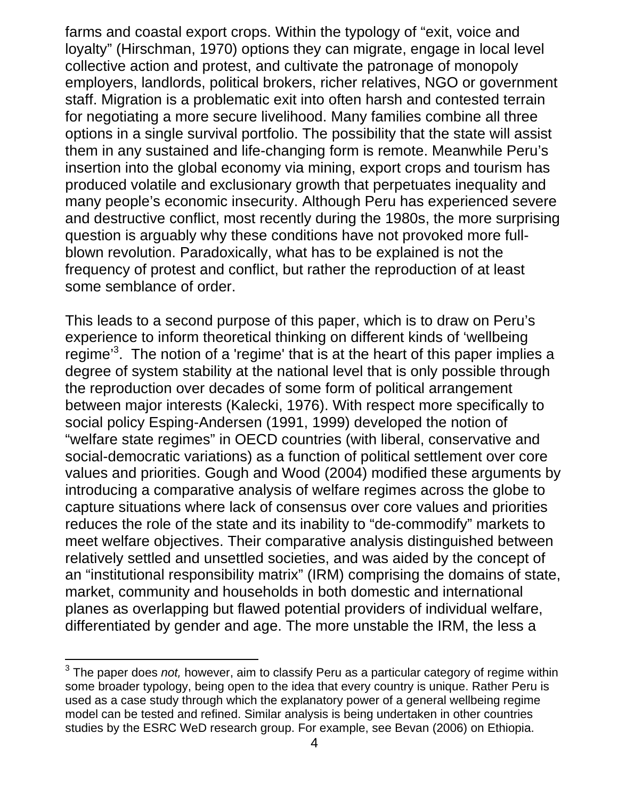farms and coastal export crops. Within the typology of "exit, voice and loyalty" (Hirschman, 1970) options they can migrate, engage in local level collective action and protest, and cultivate the patronage of monopoly employers, landlords, political brokers, richer relatives, NGO or government staff. Migration is a problematic exit into often harsh and contested terrain for negotiating a more secure livelihood. Many families combine all three options in a single survival portfolio. The possibility that the state will assist them in any sustained and life-changing form is remote. Meanwhile Peru's insertion into the global economy via mining, export crops and tourism has produced volatile and exclusionary growth that perpetuates inequality and many people's economic insecurity. Although Peru has experienced severe and destructive conflict, most recently during the 1980s, the more surprising question is arguably why these conditions have not provoked more fullblown revolution. Paradoxically, what has to be explained is not the frequency of protest and conflict, but rather the reproduction of at least some semblance of order.

This leads to a second purpose of this paper, which is to draw on Peru's experience to inform theoretical thinking on different kinds of 'wellbeing regime<sup>3</sup>. The notion of a 'regime' that is at the heart of this paper implies a degree of system stability at the national level that is only possible through the reproduction over decades of some form of political arrangement between major interests (Kalecki, 1976). With respect more specifically to social policy Esping-Andersen (1991, 1999) developed the notion of "welfare state regimes" in OECD countries (with liberal, conservative and social-democratic variations) as a function of political settlement over core values and priorities. Gough and Wood (2004) modified these arguments by introducing a comparative analysis of welfare regimes across the globe to capture situations where lack of consensus over core values and priorities reduces the role of the state and its inability to "de-commodify" markets to meet welfare objectives. Their comparative analysis distinguished between relatively settled and unsettled societies, and was aided by the concept of an "institutional responsibility matrix" (IRM) comprising the domains of state, market, community and households in both domestic and international planes as overlapping but flawed potential providers of individual welfare, differentiated by gender and age. The more unstable the IRM, the less a

 $\overline{a}$ 3 The paper does *not,* however, aim to classify Peru as a particular category of regime within some broader typology, being open to the idea that every country is unique. Rather Peru is used as a case study through which the explanatory power of a general wellbeing regime model can be tested and refined. Similar analysis is being undertaken in other countries studies by the ESRC WeD research group. For example, see Bevan (2006) on Ethiopia.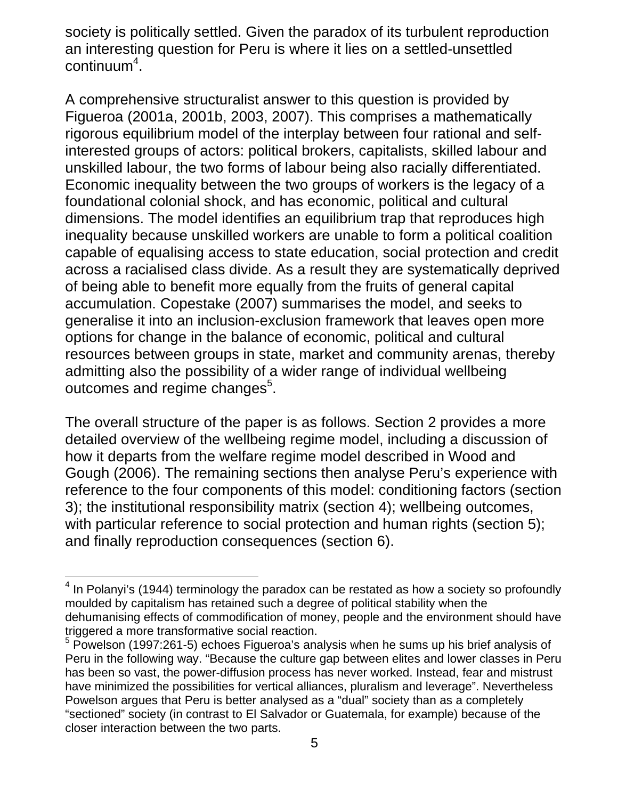society is politically settled. Given the paradox of its turbulent reproduction an interesting question for Peru is where it lies on a settled-unsettled continuum<sup>4</sup>.

A comprehensive structuralist answer to this question is provided by Figueroa (2001a, 2001b, 2003, 2007). This comprises a mathematically rigorous equilibrium model of the interplay between four rational and selfinterested groups of actors: political brokers, capitalists, skilled labour and unskilled labour, the two forms of labour being also racially differentiated. Economic inequality between the two groups of workers is the legacy of a foundational colonial shock, and has economic, political and cultural dimensions. The model identifies an equilibrium trap that reproduces high inequality because unskilled workers are unable to form a political coalition capable of equalising access to state education, social protection and credit across a racialised class divide. As a result they are systematically deprived of being able to benefit more equally from the fruits of general capital accumulation. Copestake (2007) summarises the model, and seeks to generalise it into an inclusion-exclusion framework that leaves open more options for change in the balance of economic, political and cultural resources between groups in state, market and community arenas, thereby admitting also the possibility of a wider range of individual wellbeing outcomes and regime changes<sup>5</sup>.

The overall structure of the paper is as follows. Section 2 provides a more detailed overview of the wellbeing regime model, including a discussion of how it departs from the welfare regime model described in Wood and Gough (2006). The remaining sections then analyse Peru's experience with reference to the four components of this model: conditioning factors (section 3); the institutional responsibility matrix (section 4); wellbeing outcomes, with particular reference to social protection and human rights (section 5); and finally reproduction consequences (section 6).

 4 In Polanyi's (1944) terminology the paradox can be restated as how a society so profoundly moulded by capitalism has retained such a degree of political stability when the dehumanising effects of commodification of money, people and the environment should have triggered a more transformative social reaction. <sup>5</sup>

 $5$  Powelson (1997:261-5) echoes Figueroa's analysis when he sums up his brief analysis of Peru in the following way. "Because the culture gap between elites and lower classes in Peru has been so vast, the power-diffusion process has never worked. Instead, fear and mistrust have minimized the possibilities for vertical alliances, pluralism and leverage". Nevertheless Powelson argues that Peru is better analysed as a "dual" society than as a completely "sectioned" society (in contrast to El Salvador or Guatemala, for example) because of the closer interaction between the two parts.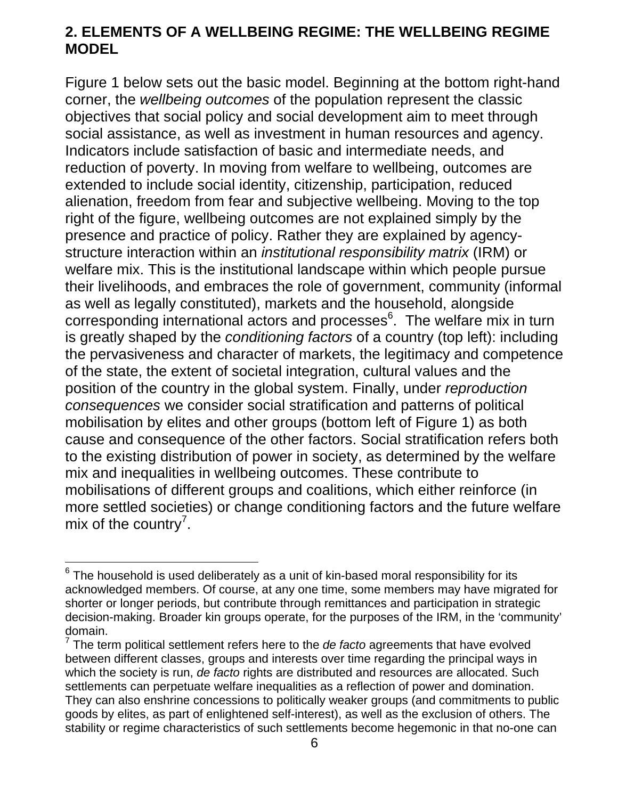### **2. ELEMENTS OF A WELLBEING REGIME: THE WELLBEING REGIME MODEL**

Figure 1 below sets out the basic model. Beginning at the bottom right-hand corner, the *wellbeing outcomes* of the population represent the classic objectives that social policy and social development aim to meet through social assistance, as well as investment in human resources and agency. Indicators include satisfaction of basic and intermediate needs, and reduction of poverty. In moving from welfare to wellbeing, outcomes are extended to include social identity, citizenship, participation, reduced alienation, freedom from fear and subjective wellbeing. Moving to the top right of the figure, wellbeing outcomes are not explained simply by the presence and practice of policy. Rather they are explained by agencystructure interaction within an *institutional responsibility matrix* (IRM) or welfare mix. This is the institutional landscape within which people pursue their livelihoods, and embraces the role of government, community (informal as well as legally constituted), markets and the household, alongside corresponding international actors and processes<sup>6</sup>. The welfare mix in turn is greatly shaped by the *conditioning factors* of a country (top left): including the pervasiveness and character of markets, the legitimacy and competence of the state, the extent of societal integration, cultural values and the position of the country in the global system. Finally, under *reproduction consequences* we consider social stratification and patterns of political mobilisation by elites and other groups (bottom left of Figure 1) as both cause and consequence of the other factors. Social stratification refers both to the existing distribution of power in society, as determined by the welfare mix and inequalities in wellbeing outcomes. These contribute to mobilisations of different groups and coalitions, which either reinforce (in more settled societies) or change conditioning factors and the future welfare mix of the country<sup>7</sup>.

 $\overline{a}$ 

 $^6$  The household is used deliberately as a unit of kin-based moral responsibility for its acknowledged members. Of course, at any one time, some members may have migrated for shorter or longer periods, but contribute through remittances and participation in strategic decision-making. Broader kin groups operate, for the purposes of the IRM, in the 'community' domain.

<sup>7</sup> The term political settlement refers here to the *de facto* agreements that have evolved between different classes, groups and interests over time regarding the principal ways in which the society is run, *de facto* rights are distributed and resources are allocated. Such settlements can perpetuate welfare inequalities as a reflection of power and domination. They can also enshrine concessions to politically weaker groups (and commitments to public goods by elites, as part of enlightened self-interest), as well as the exclusion of others. The stability or regime characteristics of such settlements become hegemonic in that no-one can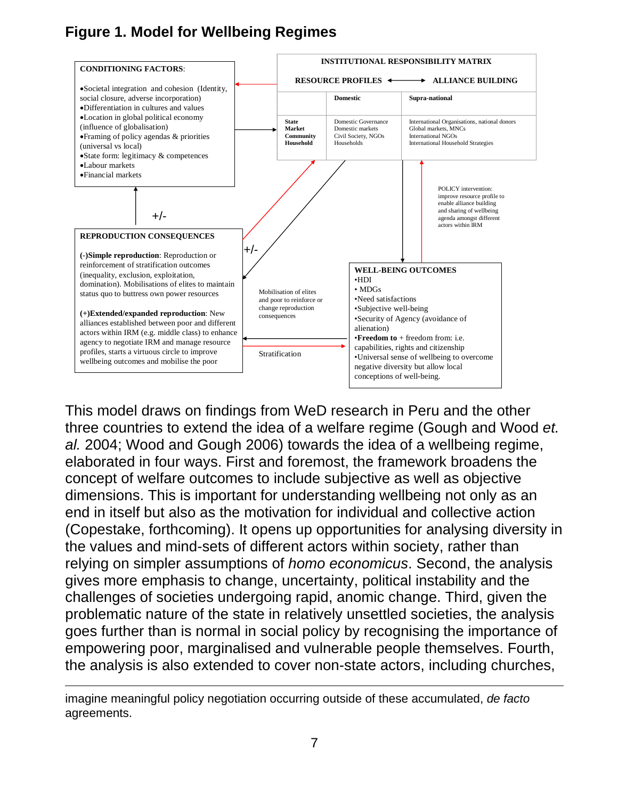# **Figure 1. Model for Wellbeing Regimes**



This model draws on findings from WeD research in Peru and the other three countries to extend the idea of a welfare regime (Gough and Wood *et. al.* 2004; Wood and Gough 2006) towards the idea of a wellbeing regime, elaborated in four ways. First and foremost, the framework broadens the concept of welfare outcomes to include subjective as well as objective dimensions. This is important for understanding wellbeing not only as an end in itself but also as the motivation for individual and collective action (Copestake, forthcoming). It opens up opportunities for analysing diversity in the values and mind-sets of different actors within society, rather than relying on simpler assumptions of *homo economicus*. Second, the analysis gives more emphasis to change, uncertainty, political instability and the challenges of societies undergoing rapid, anomic change. Third, given the problematic nature of the state in relatively unsettled societies, the analysis goes further than is normal in social policy by recognising the importance of empowering poor, marginalised and vulnerable people themselves. Fourth, the analysis is also extended to cover non-state actors, including churches,

 $\overline{a}$ 

imagine meaningful policy negotiation occurring outside of these accumulated, *de facto* agreements.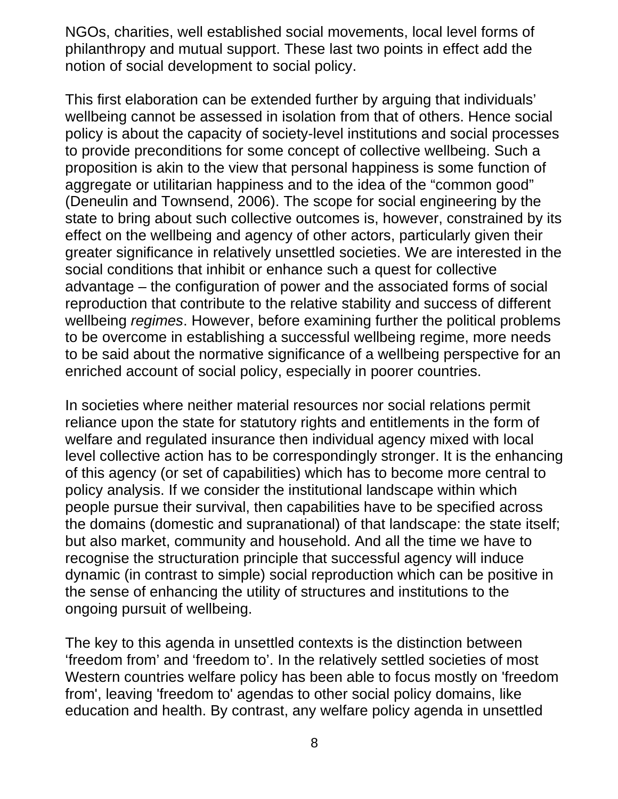NGOs, charities, well established social movements, local level forms of philanthropy and mutual support. These last two points in effect add the notion of social development to social policy.

This first elaboration can be extended further by arguing that individuals' wellbeing cannot be assessed in isolation from that of others. Hence social policy is about the capacity of society-level institutions and social processes to provide preconditions for some concept of collective wellbeing. Such a proposition is akin to the view that personal happiness is some function of aggregate or utilitarian happiness and to the idea of the "common good" (Deneulin and Townsend, 2006). The scope for social engineering by the state to bring about such collective outcomes is, however, constrained by its effect on the wellbeing and agency of other actors, particularly given their greater significance in relatively unsettled societies. We are interested in the social conditions that inhibit or enhance such a quest for collective advantage – the configuration of power and the associated forms of social reproduction that contribute to the relative stability and success of different wellbeing *regimes*. However, before examining further the political problems to be overcome in establishing a successful wellbeing regime, more needs to be said about the normative significance of a wellbeing perspective for an enriched account of social policy, especially in poorer countries.

In societies where neither material resources nor social relations permit reliance upon the state for statutory rights and entitlements in the form of welfare and regulated insurance then individual agency mixed with local level collective action has to be correspondingly stronger. It is the enhancing of this agency (or set of capabilities) which has to become more central to policy analysis. If we consider the institutional landscape within which people pursue their survival, then capabilities have to be specified across the domains (domestic and supranational) of that landscape: the state itself; but also market, community and household. And all the time we have to recognise the structuration principle that successful agency will induce dynamic (in contrast to simple) social reproduction which can be positive in the sense of enhancing the utility of structures and institutions to the ongoing pursuit of wellbeing.

The key to this agenda in unsettled contexts is the distinction between 'freedom from' and 'freedom to'. In the relatively settled societies of most Western countries welfare policy has been able to focus mostly on 'freedom from', leaving 'freedom to' agendas to other social policy domains, like education and health. By contrast, any welfare policy agenda in unsettled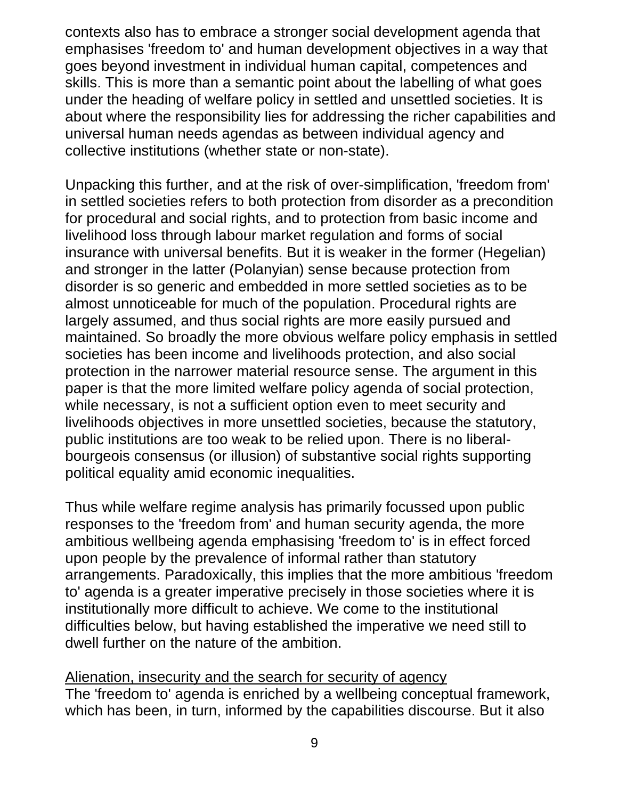contexts also has to embrace a stronger social development agenda that emphasises 'freedom to' and human development objectives in a way that goes beyond investment in individual human capital, competences and skills. This is more than a semantic point about the labelling of what goes under the heading of welfare policy in settled and unsettled societies. It is about where the responsibility lies for addressing the richer capabilities and universal human needs agendas as between individual agency and collective institutions (whether state or non-state).

Unpacking this further, and at the risk of over-simplification, 'freedom from' in settled societies refers to both protection from disorder as a precondition for procedural and social rights, and to protection from basic income and livelihood loss through labour market regulation and forms of social insurance with universal benefits. But it is weaker in the former (Hegelian) and stronger in the latter (Polanyian) sense because protection from disorder is so generic and embedded in more settled societies as to be almost unnoticeable for much of the population. Procedural rights are largely assumed, and thus social rights are more easily pursued and maintained. So broadly the more obvious welfare policy emphasis in settled societies has been income and livelihoods protection, and also social protection in the narrower material resource sense. The argument in this paper is that the more limited welfare policy agenda of social protection, while necessary, is not a sufficient option even to meet security and livelihoods objectives in more unsettled societies, because the statutory, public institutions are too weak to be relied upon. There is no liberalbourgeois consensus (or illusion) of substantive social rights supporting political equality amid economic inequalities.

Thus while welfare regime analysis has primarily focussed upon public responses to the 'freedom from' and human security agenda, the more ambitious wellbeing agenda emphasising 'freedom to' is in effect forced upon people by the prevalence of informal rather than statutory arrangements. Paradoxically, this implies that the more ambitious 'freedom to' agenda is a greater imperative precisely in those societies where it is institutionally more difficult to achieve. We come to the institutional difficulties below, but having established the imperative we need still to dwell further on the nature of the ambition.

Alienation, insecurity and the search for security of agency The 'freedom to' agenda is enriched by a wellbeing conceptual framework, which has been, in turn, informed by the capabilities discourse. But it also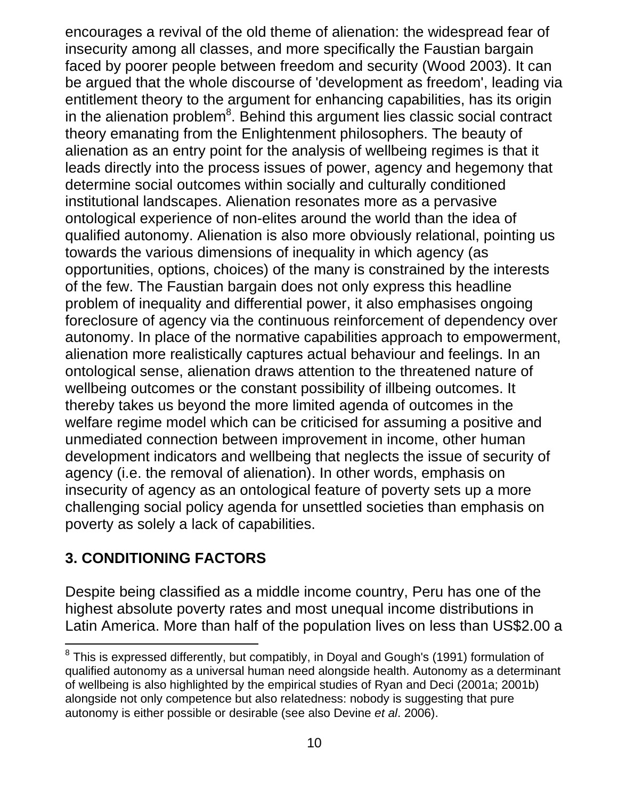encourages a revival of the old theme of alienation: the widespread fear of insecurity among all classes, and more specifically the Faustian bargain faced by poorer people between freedom and security (Wood 2003). It can be argued that the whole discourse of 'development as freedom', leading via entitlement theory to the argument for enhancing capabilities, has its origin in the alienation problem $8$ . Behind this argument lies classic social contract theory emanating from the Enlightenment philosophers. The beauty of alienation as an entry point for the analysis of wellbeing regimes is that it leads directly into the process issues of power, agency and hegemony that determine social outcomes within socially and culturally conditioned institutional landscapes. Alienation resonates more as a pervasive ontological experience of non-elites around the world than the idea of qualified autonomy. Alienation is also more obviously relational, pointing us towards the various dimensions of inequality in which agency (as opportunities, options, choices) of the many is constrained by the interests of the few. The Faustian bargain does not only express this headline problem of inequality and differential power, it also emphasises ongoing foreclosure of agency via the continuous reinforcement of dependency over autonomy. In place of the normative capabilities approach to empowerment, alienation more realistically captures actual behaviour and feelings. In an ontological sense, alienation draws attention to the threatened nature of wellbeing outcomes or the constant possibility of illbeing outcomes. It thereby takes us beyond the more limited agenda of outcomes in the welfare regime model which can be criticised for assuming a positive and unmediated connection between improvement in income, other human development indicators and wellbeing that neglects the issue of security of agency (i.e. the removal of alienation). In other words, emphasis on insecurity of agency as an ontological feature of poverty sets up a more challenging social policy agenda for unsettled societies than emphasis on poverty as solely a lack of capabilities.

### **3. CONDITIONING FACTORS**

Despite being classified as a middle income country, Peru has one of the highest absolute poverty rates and most unequal income distributions in Latin America. More than half of the population lives on less than US\$2.00 a

 $\overline{a}$  $^8$  This is expressed differently, but compatibly, in Doyal and Gough's (1991) formulation of qualified autonomy as a universal human need alongside health. Autonomy as a determinant of wellbeing is also highlighted by the empirical studies of Ryan and Deci (2001a; 2001b) alongside not only competence but also relatedness: nobody is suggesting that pure autonomy is either possible or desirable (see also Devine *et al*. 2006).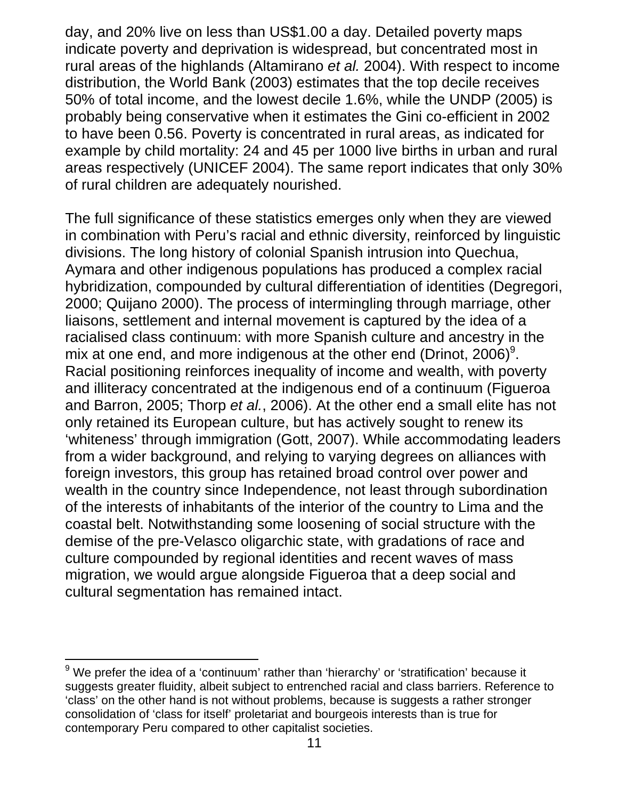day, and 20% live on less than US\$1.00 a day. Detailed poverty maps indicate poverty and deprivation is widespread, but concentrated most in rural areas of the highlands (Altamirano *et al.* 2004). With respect to income distribution, the World Bank (2003) estimates that the top decile receives 50% of total income, and the lowest decile 1.6%, while the UNDP (2005) is probably being conservative when it estimates the Gini co-efficient in 2002 to have been 0.56. Poverty is concentrated in rural areas, as indicated for example by child mortality: 24 and 45 per 1000 live births in urban and rural areas respectively (UNICEF 2004). The same report indicates that only 30% of rural children are adequately nourished.

The full significance of these statistics emerges only when they are viewed in combination with Peru's racial and ethnic diversity, reinforced by linguistic divisions. The long history of colonial Spanish intrusion into Quechua, Aymara and other indigenous populations has produced a complex racial hybridization, compounded by cultural differentiation of identities (Degregori, 2000; Quijano 2000). The process of intermingling through marriage, other liaisons, settlement and internal movement is captured by the idea of a racialised class continuum: with more Spanish culture and ancestry in the mix at one end, and more indigenous at the other end (Drinot, 2006) $^9$ . Racial positioning reinforces inequality of income and wealth, with poverty and illiteracy concentrated at the indigenous end of a continuum (Figueroa and Barron, 2005; Thorp *et al.*, 2006). At the other end a small elite has not only retained its European culture, but has actively sought to renew its 'whiteness' through immigration (Gott, 2007). While accommodating leaders from a wider background, and relying to varying degrees on alliances with foreign investors, this group has retained broad control over power and wealth in the country since Independence, not least through subordination of the interests of inhabitants of the interior of the country to Lima and the coastal belt. Notwithstanding some loosening of social structure with the demise of the pre-Velasco oligarchic state, with gradations of race and culture compounded by regional identities and recent waves of mass migration, we would argue alongside Figueroa that a deep social and cultural segmentation has remained intact.

 $\overline{a}$  $9$  We prefer the idea of a 'continuum' rather than 'hierarchy' or 'stratification' because it suggests greater fluidity, albeit subject to entrenched racial and class barriers. Reference to 'class' on the other hand is not without problems, because is suggests a rather stronger consolidation of 'class for itself' proletariat and bourgeois interests than is true for contemporary Peru compared to other capitalist societies.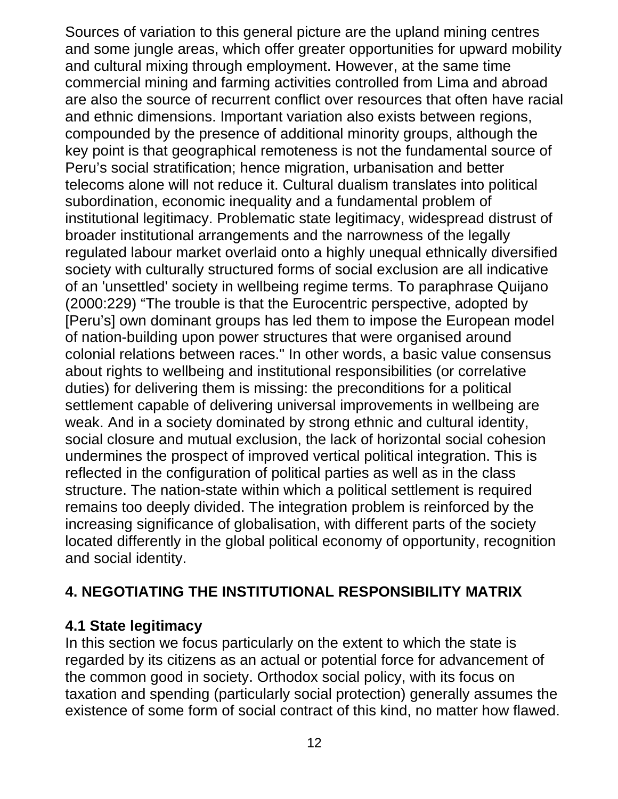Sources of variation to this general picture are the upland mining centres and some jungle areas, which offer greater opportunities for upward mobility and cultural mixing through employment. However, at the same time commercial mining and farming activities controlled from Lima and abroad are also the source of recurrent conflict over resources that often have racial and ethnic dimensions. Important variation also exists between regions, compounded by the presence of additional minority groups, although the key point is that geographical remoteness is not the fundamental source of Peru's social stratification; hence migration, urbanisation and better telecoms alone will not reduce it. Cultural dualism translates into political subordination, economic inequality and a fundamental problem of institutional legitimacy. Problematic state legitimacy, widespread distrust of broader institutional arrangements and the narrowness of the legally regulated labour market overlaid onto a highly unequal ethnically diversified society with culturally structured forms of social exclusion are all indicative of an 'unsettled' society in wellbeing regime terms. To paraphrase Quijano (2000:229) "The trouble is that the Eurocentric perspective, adopted by [Peru's] own dominant groups has led them to impose the European model of nation-building upon power structures that were organised around colonial relations between races." In other words, a basic value consensus about rights to wellbeing and institutional responsibilities (or correlative duties) for delivering them is missing: the preconditions for a political settlement capable of delivering universal improvements in wellbeing are weak. And in a society dominated by strong ethnic and cultural identity, social closure and mutual exclusion, the lack of horizontal social cohesion undermines the prospect of improved vertical political integration. This is reflected in the configuration of political parties as well as in the class structure. The nation-state within which a political settlement is required remains too deeply divided. The integration problem is reinforced by the increasing significance of globalisation, with different parts of the society located differently in the global political economy of opportunity, recognition and social identity.

### **4. NEGOTIATING THE INSTITUTIONAL RESPONSIBILITY MATRIX**

### **4.1 State legitimacy**

In this section we focus particularly on the extent to which the state is regarded by its citizens as an actual or potential force for advancement of the common good in society. Orthodox social policy, with its focus on taxation and spending (particularly social protection) generally assumes the existence of some form of social contract of this kind, no matter how flawed.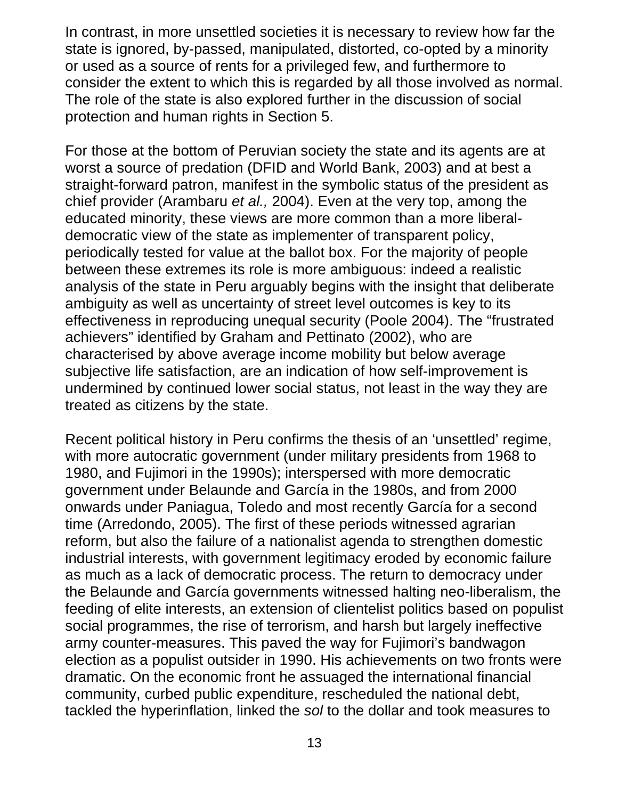In contrast, in more unsettled societies it is necessary to review how far the state is ignored, by-passed, manipulated, distorted, co-opted by a minority or used as a source of rents for a privileged few, and furthermore to consider the extent to which this is regarded by all those involved as normal. The role of the state is also explored further in the discussion of social protection and human rights in Section 5.

For those at the bottom of Peruvian society the state and its agents are at worst a source of predation (DFID and World Bank, 2003) and at best a straight-forward patron, manifest in the symbolic status of the president as chief provider (Arambaru *et al.,* 2004). Even at the very top, among the educated minority, these views are more common than a more liberaldemocratic view of the state as implementer of transparent policy, periodically tested for value at the ballot box. For the majority of people between these extremes its role is more ambiguous: indeed a realistic analysis of the state in Peru arguably begins with the insight that deliberate ambiguity as well as uncertainty of street level outcomes is key to its effectiveness in reproducing unequal security (Poole 2004). The "frustrated achievers" identified by Graham and Pettinato (2002), who are characterised by above average income mobility but below average subjective life satisfaction, are an indication of how self-improvement is undermined by continued lower social status, not least in the way they are treated as citizens by the state.

Recent political history in Peru confirms the thesis of an 'unsettled' regime, with more autocratic government (under military presidents from 1968 to 1980, and Fujimori in the 1990s); interspersed with more democratic government under Belaunde and García in the 1980s, and from 2000 onwards under Paniagua, Toledo and most recently García for a second time (Arredondo, 2005). The first of these periods witnessed agrarian reform, but also the failure of a nationalist agenda to strengthen domestic industrial interests, with government legitimacy eroded by economic failure as much as a lack of democratic process. The return to democracy under the Belaunde and García governments witnessed halting neo-liberalism, the feeding of elite interests, an extension of clientelist politics based on populist social programmes, the rise of terrorism, and harsh but largely ineffective army counter-measures. This paved the way for Fujimori's bandwagon election as a populist outsider in 1990. His achievements on two fronts were dramatic. On the economic front he assuaged the international financial community, curbed public expenditure, rescheduled the national debt, tackled the hyperinflation, linked the *sol* to the dollar and took measures to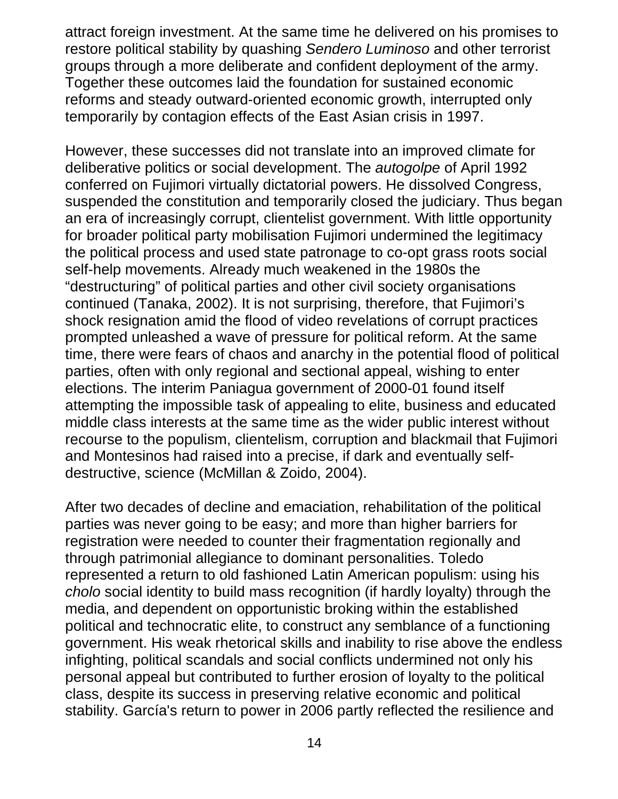attract foreign investment. At the same time he delivered on his promises to restore political stability by quashing *Sendero Luminoso* and other terrorist groups through a more deliberate and confident deployment of the army. Together these outcomes laid the foundation for sustained economic reforms and steady outward-oriented economic growth, interrupted only temporarily by contagion effects of the East Asian crisis in 1997.

However, these successes did not translate into an improved climate for deliberative politics or social development. The *autogolpe* of April 1992 conferred on Fujimori virtually dictatorial powers. He dissolved Congress, suspended the constitution and temporarily closed the judiciary. Thus began an era of increasingly corrupt, clientelist government. With little opportunity for broader political party mobilisation Fujimori undermined the legitimacy the political process and used state patronage to co-opt grass roots social self-help movements. Already much weakened in the 1980s the "destructuring" of political parties and other civil society organisations continued (Tanaka, 2002). It is not surprising, therefore, that Fujimori's shock resignation amid the flood of video revelations of corrupt practices prompted unleashed a wave of pressure for political reform. At the same time, there were fears of chaos and anarchy in the potential flood of political parties, often with only regional and sectional appeal, wishing to enter elections. The interim Paniagua government of 2000-01 found itself attempting the impossible task of appealing to elite, business and educated middle class interests at the same time as the wider public interest without recourse to the populism, clientelism, corruption and blackmail that Fujimori and Montesinos had raised into a precise, if dark and eventually selfdestructive, science (McMillan & Zoido, 2004).

After two decades of decline and emaciation, rehabilitation of the political parties was never going to be easy; and more than higher barriers for registration were needed to counter their fragmentation regionally and through patrimonial allegiance to dominant personalities. Toledo represented a return to old fashioned Latin American populism: using his *cholo* social identity to build mass recognition (if hardly loyalty) through the media, and dependent on opportunistic broking within the established political and technocratic elite, to construct any semblance of a functioning government. His weak rhetorical skills and inability to rise above the endless infighting, political scandals and social conflicts undermined not only his personal appeal but contributed to further erosion of loyalty to the political class, despite its success in preserving relative economic and political stability. García's return to power in 2006 partly reflected the resilience and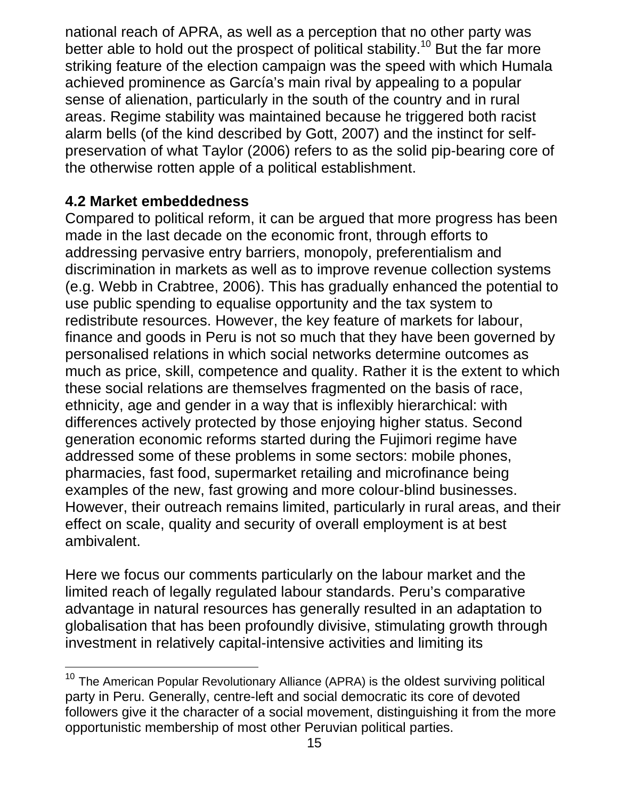national reach of APRA, as well as a perception that no other party was better able to hold out the prospect of political stability.<sup>10</sup> But the far more striking feature of the election campaign was the speed with which Humala achieved prominence as García's main rival by appealing to a popular sense of alienation, particularly in the south of the country and in rural areas. Regime stability was maintained because he triggered both racist alarm bells (of the kind described by Gott, 2007) and the instinct for selfpreservation of what Taylor (2006) refers to as the solid pip-bearing core of the otherwise rotten apple of a political establishment.

## **4.2 Market embeddedness**

 $\overline{a}$ 

Compared to political reform, it can be argued that more progress has been made in the last decade on the economic front, through efforts to addressing pervasive entry barriers, monopoly, preferentialism and discrimination in markets as well as to improve revenue collection systems (e.g. Webb in Crabtree, 2006). This has gradually enhanced the potential to use public spending to equalise opportunity and the tax system to redistribute resources. However, the key feature of markets for labour, finance and goods in Peru is not so much that they have been governed by personalised relations in which social networks determine outcomes as much as price, skill, competence and quality. Rather it is the extent to which these social relations are themselves fragmented on the basis of race, ethnicity, age and gender in a way that is inflexibly hierarchical: with differences actively protected by those enjoying higher status. Second generation economic reforms started during the Fujimori regime have addressed some of these problems in some sectors: mobile phones, pharmacies, fast food, supermarket retailing and microfinance being examples of the new, fast growing and more colour-blind businesses. However, their outreach remains limited, particularly in rural areas, and their effect on scale, quality and security of overall employment is at best ambivalent.

Here we focus our comments particularly on the labour market and the limited reach of legally regulated labour standards. Peru's comparative advantage in natural resources has generally resulted in an adaptation to globalisation that has been profoundly divisive, stimulating growth through investment in relatively capital-intensive activities and limiting its

 $10$  The American Popular Revolutionary Alliance (APRA) is the oldest surviving political party in Peru. Generally, centre-left and social democratic its core of devoted followers give it the character of a social movement, distinguishing it from the more opportunistic membership of most other Peruvian political parties.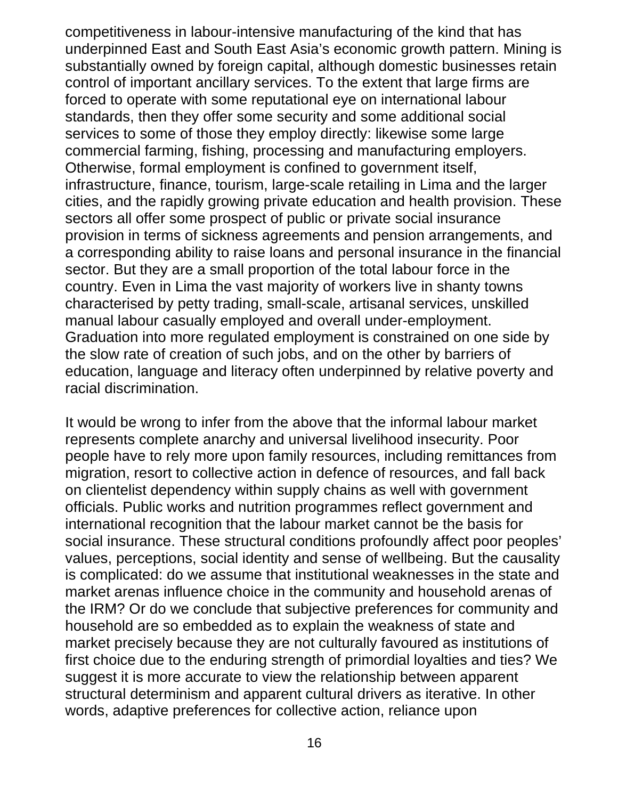competitiveness in labour-intensive manufacturing of the kind that has underpinned East and South East Asia's economic growth pattern. Mining is substantially owned by foreign capital, although domestic businesses retain control of important ancillary services. To the extent that large firms are forced to operate with some reputational eye on international labour standards, then they offer some security and some additional social services to some of those they employ directly: likewise some large commercial farming, fishing, processing and manufacturing employers. Otherwise, formal employment is confined to government itself, infrastructure, finance, tourism, large-scale retailing in Lima and the larger cities, and the rapidly growing private education and health provision. These sectors all offer some prospect of public or private social insurance provision in terms of sickness agreements and pension arrangements, and a corresponding ability to raise loans and personal insurance in the financial sector. But they are a small proportion of the total labour force in the country. Even in Lima the vast majority of workers live in shanty towns characterised by petty trading, small-scale, artisanal services, unskilled manual labour casually employed and overall under-employment. Graduation into more regulated employment is constrained on one side by the slow rate of creation of such jobs, and on the other by barriers of education, language and literacy often underpinned by relative poverty and racial discrimination.

It would be wrong to infer from the above that the informal labour market represents complete anarchy and universal livelihood insecurity. Poor people have to rely more upon family resources, including remittances from migration, resort to collective action in defence of resources, and fall back on clientelist dependency within supply chains as well with government officials. Public works and nutrition programmes reflect government and international recognition that the labour market cannot be the basis for social insurance. These structural conditions profoundly affect poor peoples' values, perceptions, social identity and sense of wellbeing. But the causality is complicated: do we assume that institutional weaknesses in the state and market arenas influence choice in the community and household arenas of the IRM? Or do we conclude that subjective preferences for community and household are so embedded as to explain the weakness of state and market precisely because they are not culturally favoured as institutions of first choice due to the enduring strength of primordial loyalties and ties? We suggest it is more accurate to view the relationship between apparent structural determinism and apparent cultural drivers as iterative. In other words, adaptive preferences for collective action, reliance upon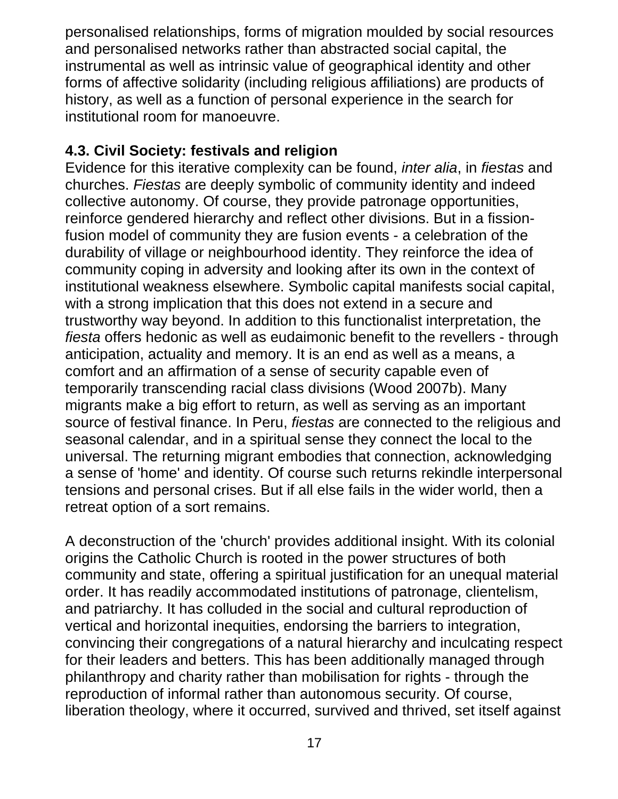personalised relationships, forms of migration moulded by social resources and personalised networks rather than abstracted social capital, the instrumental as well as intrinsic value of geographical identity and other forms of affective solidarity (including religious affiliations) are products of history, as well as a function of personal experience in the search for institutional room for manoeuvre.

### **4.3. Civil Society: festivals and religion**

Evidence for this iterative complexity can be found, *inter alia*, in *fiestas* and churches. *Fiestas* are deeply symbolic of community identity and indeed collective autonomy. Of course, they provide patronage opportunities, reinforce gendered hierarchy and reflect other divisions. But in a fissionfusion model of community they are fusion events - a celebration of the durability of village or neighbourhood identity. They reinforce the idea of community coping in adversity and looking after its own in the context of institutional weakness elsewhere. Symbolic capital manifests social capital, with a strong implication that this does not extend in a secure and trustworthy way beyond. In addition to this functionalist interpretation, the *fiesta* offers hedonic as well as eudaimonic benefit to the revellers - through anticipation, actuality and memory. It is an end as well as a means, a comfort and an affirmation of a sense of security capable even of temporarily transcending racial class divisions (Wood 2007b). Many migrants make a big effort to return, as well as serving as an important source of festival finance. In Peru, *fiestas* are connected to the religious and seasonal calendar, and in a spiritual sense they connect the local to the universal. The returning migrant embodies that connection, acknowledging a sense of 'home' and identity. Of course such returns rekindle interpersonal tensions and personal crises. But if all else fails in the wider world, then a retreat option of a sort remains.

A deconstruction of the 'church' provides additional insight. With its colonial origins the Catholic Church is rooted in the power structures of both community and state, offering a spiritual justification for an unequal material order. It has readily accommodated institutions of patronage, clientelism, and patriarchy. It has colluded in the social and cultural reproduction of vertical and horizontal inequities, endorsing the barriers to integration, convincing their congregations of a natural hierarchy and inculcating respect for their leaders and betters. This has been additionally managed through philanthropy and charity rather than mobilisation for rights - through the reproduction of informal rather than autonomous security. Of course, liberation theology, where it occurred, survived and thrived, set itself against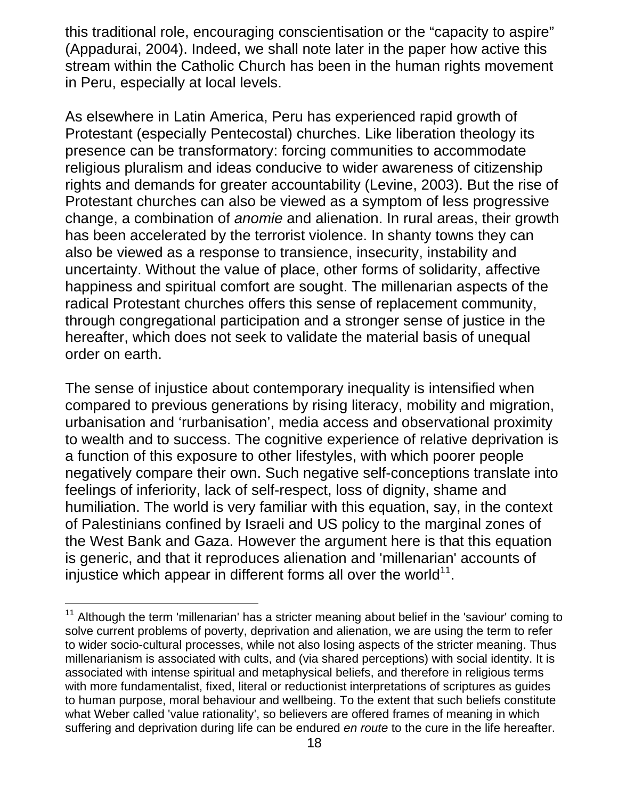this traditional role, encouraging conscientisation or the "capacity to aspire" (Appadurai, 2004). Indeed, we shall note later in the paper how active this stream within the Catholic Church has been in the human rights movement in Peru, especially at local levels.

As elsewhere in Latin America, Peru has experienced rapid growth of Protestant (especially Pentecostal) churches. Like liberation theology its presence can be transformatory: forcing communities to accommodate religious pluralism and ideas conducive to wider awareness of citizenship rights and demands for greater accountability (Levine, 2003). But the rise of Protestant churches can also be viewed as a symptom of less progressive change, a combination of *anomie* and alienation. In rural areas, their growth has been accelerated by the terrorist violence. In shanty towns they can also be viewed as a response to transience, insecurity, instability and uncertainty. Without the value of place, other forms of solidarity, affective happiness and spiritual comfort are sought. The millenarian aspects of the radical Protestant churches offers this sense of replacement community, through congregational participation and a stronger sense of justice in the hereafter, which does not seek to validate the material basis of unequal order on earth.

The sense of injustice about contemporary inequality is intensified when compared to previous generations by rising literacy, mobility and migration, urbanisation and 'rurbanisation', media access and observational proximity to wealth and to success. The cognitive experience of relative deprivation is a function of this exposure to other lifestyles, with which poorer people negatively compare their own. Such negative self-conceptions translate into feelings of inferiority, lack of self-respect, loss of dignity, shame and humiliation. The world is very familiar with this equation, say, in the context of Palestinians confined by Israeli and US policy to the marginal zones of the West Bank and Gaza. However the argument here is that this equation is generic, and that it reproduces alienation and 'millenarian' accounts of injustice which appear in different forms all over the world $11$ .

 $\overline{a}$ 

 $11$  Although the term 'millenarian' has a stricter meaning about belief in the 'saviour' coming to solve current problems of poverty, deprivation and alienation, we are using the term to refer to wider socio-cultural processes, while not also losing aspects of the stricter meaning. Thus millenarianism is associated with cults, and (via shared perceptions) with social identity. It is associated with intense spiritual and metaphysical beliefs, and therefore in religious terms with more fundamentalist, fixed, literal or reductionist interpretations of scriptures as guides to human purpose, moral behaviour and wellbeing. To the extent that such beliefs constitute what Weber called 'value rationality', so believers are offered frames of meaning in which suffering and deprivation during life can be endured *en route* to the cure in the life hereafter.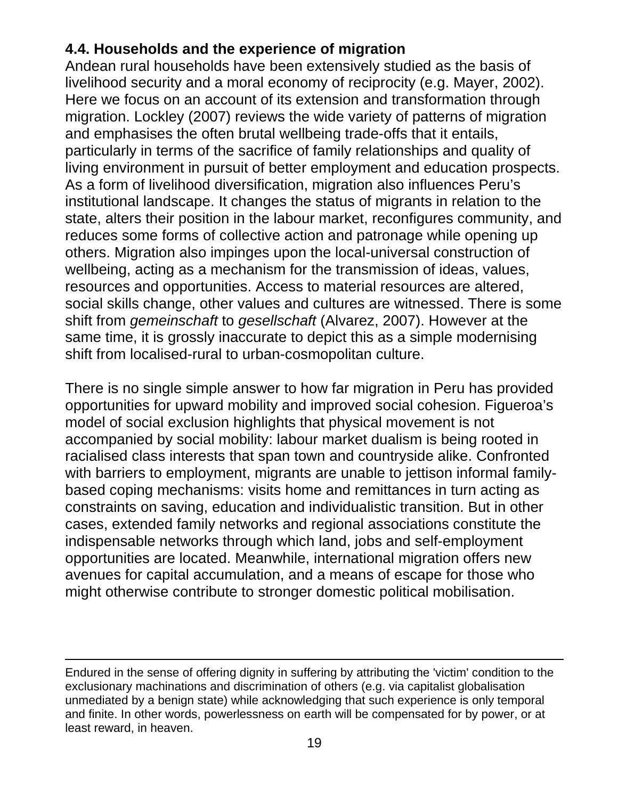## **4.4. Households and the experience of migration**

Andean rural households have been extensively studied as the basis of livelihood security and a moral economy of reciprocity (e.g. Mayer, 2002). Here we focus on an account of its extension and transformation through migration. Lockley (2007) reviews the wide variety of patterns of migration and emphasises the often brutal wellbeing trade-offs that it entails, particularly in terms of the sacrifice of family relationships and quality of living environment in pursuit of better employment and education prospects. As a form of livelihood diversification, migration also influences Peru's institutional landscape. It changes the status of migrants in relation to the state, alters their position in the labour market, reconfigures community, and reduces some forms of collective action and patronage while opening up others. Migration also impinges upon the local-universal construction of wellbeing, acting as a mechanism for the transmission of ideas, values, resources and opportunities. Access to material resources are altered, social skills change, other values and cultures are witnessed. There is some shift from *gemeinschaft* to *gesellschaft* (Alvarez, 2007). However at the same time, it is grossly inaccurate to depict this as a simple modernising shift from localised-rural to urban-cosmopolitan culture.

There is no single simple answer to how far migration in Peru has provided opportunities for upward mobility and improved social cohesion. Figueroa's model of social exclusion highlights that physical movement is not accompanied by social mobility: labour market dualism is being rooted in racialised class interests that span town and countryside alike. Confronted with barriers to employment, migrants are unable to jettison informal familybased coping mechanisms: visits home and remittances in turn acting as constraints on saving, education and individualistic transition. But in other cases, extended family networks and regional associations constitute the indispensable networks through which land, jobs and self-employment opportunities are located. Meanwhile, international migration offers new avenues for capital accumulation, and a means of escape for those who might otherwise contribute to stronger domestic political mobilisation.

 $\overline{a}$ Endured in the sense of offering dignity in suffering by attributing the 'victim' condition to the exclusionary machinations and discrimination of others (e.g. via capitalist globalisation unmediated by a benign state) while acknowledging that such experience is only temporal and finite. In other words, powerlessness on earth will be compensated for by power, or at least reward, in heaven.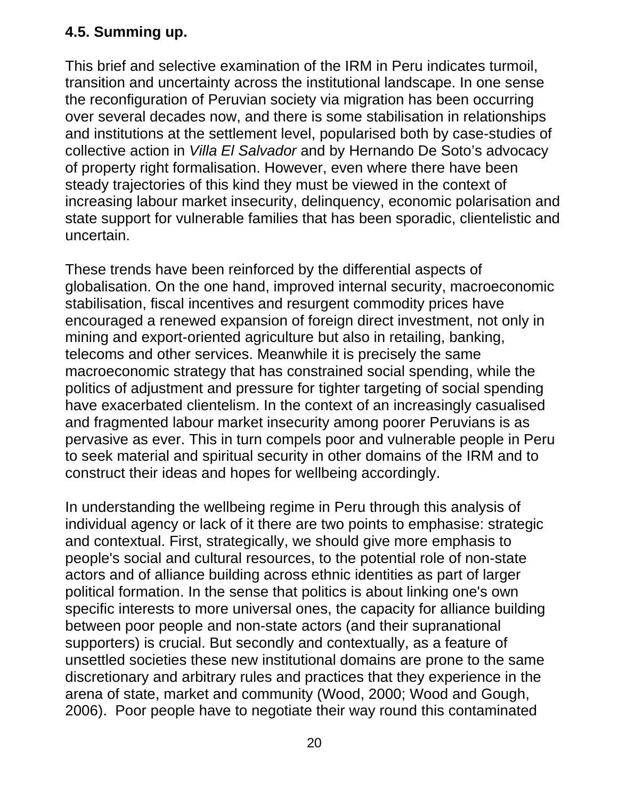## **4.5. Summing up.**

This brief and selective examination of the IRM in Peru indicates turmoil, transition and uncertainty across the institutional landscape. In one sense the reconfiguration of Peruvian society via migration has been occurring over several decades now, and there is some stabilisation in relationships and institutions at the settlement level, popularised both by case-studies of collective action in *Villa El Salvador* and by Hernando De Soto's advocacy of property right formalisation. However, even where there have been steady trajectories of this kind they must be viewed in the context of increasing labour market insecurity, delinquency, economic polarisation and state support for vulnerable families that has been sporadic, clientelistic and uncertain.

These trends have been reinforced by the differential aspects of globalisation. On the one hand, improved internal security, macroeconomic stabilisation, fiscal incentives and resurgent commodity prices have encouraged a renewed expansion of foreign direct investment, not only in mining and export-oriented agriculture but also in retailing, banking, telecoms and other services. Meanwhile it is precisely the same macroeconomic strategy that has constrained social spending, while the politics of adjustment and pressure for tighter targeting of social spending have exacerbated clientelism. In the context of an increasingly casualised and fragmented labour market insecurity among poorer Peruvians is as pervasive as ever. This in turn compels poor and vulnerable people in Peru to seek material and spiritual security in other domains of the IRM and to construct their ideas and hopes for wellbeing accordingly.

In understanding the wellbeing regime in Peru through this analysis of individual agency or lack of it there are two points to emphasise: strategic and contextual. First, strategically, we should give more emphasis to people's social and cultural resources, to the potential role of non-state actors and of alliance building across ethnic identities as part of larger political formation. In the sense that politics is about linking one's own specific interests to more universal ones, the capacity for alliance building between poor people and non-state actors (and their supranational supporters) is crucial. But secondly and contextually, as a feature of unsettled societies these new institutional domains are prone to the same discretionary and arbitrary rules and practices that they experience in the arena of state, market and community (Wood, 2000; Wood and Gough, 2006). Poor people have to negotiate their way round this contaminated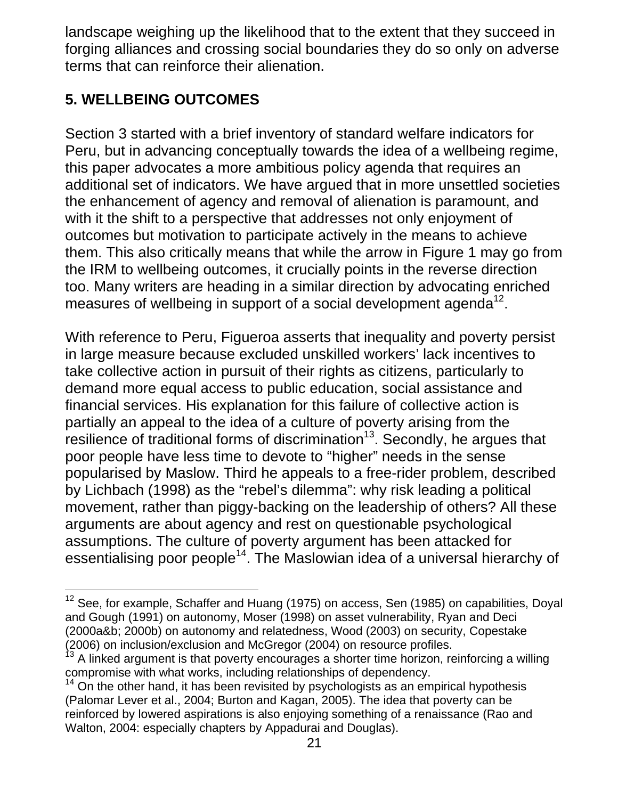landscape weighing up the likelihood that to the extent that they succeed in forging alliances and crossing social boundaries they do so only on adverse terms that can reinforce their alienation.

## **5. WELLBEING OUTCOMES**

 $\overline{a}$ 

Section 3 started with a brief inventory of standard welfare indicators for Peru, but in advancing conceptually towards the idea of a wellbeing regime, this paper advocates a more ambitious policy agenda that requires an additional set of indicators. We have argued that in more unsettled societies the enhancement of agency and removal of alienation is paramount, and with it the shift to a perspective that addresses not only enjoyment of outcomes but motivation to participate actively in the means to achieve them. This also critically means that while the arrow in Figure 1 may go from the IRM to wellbeing outcomes, it crucially points in the reverse direction too. Many writers are heading in a similar direction by advocating enriched measures of wellbeing in support of a social development agenda<sup>12</sup>.

With reference to Peru, Figueroa asserts that inequality and poverty persist in large measure because excluded unskilled workers' lack incentives to take collective action in pursuit of their rights as citizens, particularly to demand more equal access to public education, social assistance and financial services. His explanation for this failure of collective action is partially an appeal to the idea of a culture of poverty arising from the resilience of traditional forms of discrimination<sup>13</sup>. Secondly, he argues that poor people have less time to devote to "higher" needs in the sense popularised by Maslow. Third he appeals to a free-rider problem, described by Lichbach (1998) as the "rebel's dilemma": why risk leading a political movement, rather than piggy-backing on the leadership of others? All these arguments are about agency and rest on questionable psychological assumptions. The culture of poverty argument has been attacked for essentialising poor people<sup>14</sup>. The Maslowian idea of a universal hierarchy of

 $12$  See, for example, Schaffer and Huang (1975) on access, Sen (1985) on capabilities, Doyal and Gough (1991) on autonomy, Moser (1998) on asset vulnerability, Ryan and Deci (2000a&b; 2000b) on autonomy and relatedness, Wood (2003) on security, Copestake (2006) on inclusion/exclusion and McGregor (2004) on resource profiles.<br><sup>13</sup> A linked argument is that poverty as a

<sup>13</sup> A linked argument is that poverty encourages a shorter time horizon, reinforcing a willing compromise with what works, including relationships of dependency.

 $14$  On the other hand, it has been revisited by psychologists as an empirical hypothesis (Palomar Lever et al., 2004; Burton and Kagan, 2005). The idea that poverty can be reinforced by lowered aspirations is also enjoying something of a renaissance (Rao and Walton, 2004: especially chapters by Appadurai and Douglas).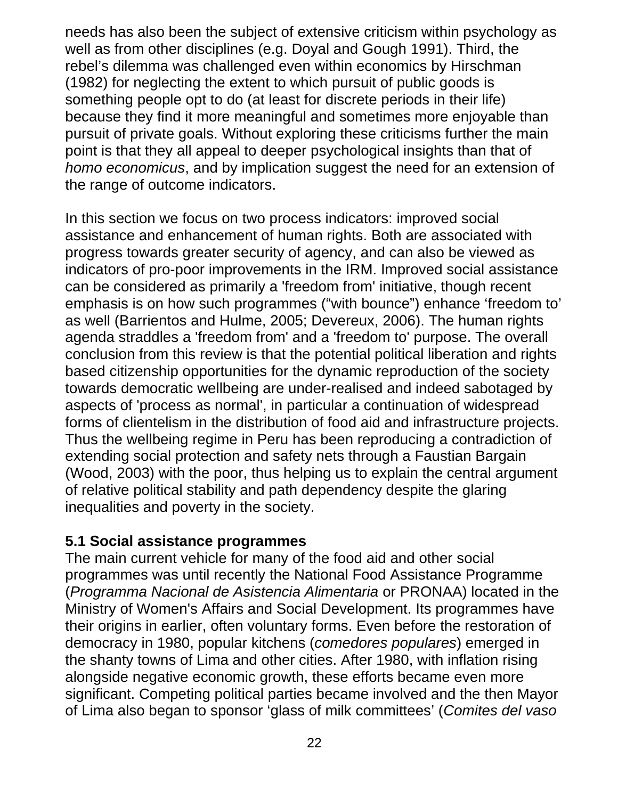needs has also been the subject of extensive criticism within psychology as well as from other disciplines (e.g. Doyal and Gough 1991). Third, the rebel's dilemma was challenged even within economics by Hirschman (1982) for neglecting the extent to which pursuit of public goods is something people opt to do (at least for discrete periods in their life) because they find it more meaningful and sometimes more enjoyable than pursuit of private goals. Without exploring these criticisms further the main point is that they all appeal to deeper psychological insights than that of *homo economicus*, and by implication suggest the need for an extension of the range of outcome indicators.

In this section we focus on two process indicators: improved social assistance and enhancement of human rights. Both are associated with progress towards greater security of agency, and can also be viewed as indicators of pro-poor improvements in the IRM. Improved social assistance can be considered as primarily a 'freedom from' initiative, though recent emphasis is on how such programmes ("with bounce") enhance 'freedom to' as well (Barrientos and Hulme, 2005; Devereux, 2006). The human rights agenda straddles a 'freedom from' and a 'freedom to' purpose. The overall conclusion from this review is that the potential political liberation and rights based citizenship opportunities for the dynamic reproduction of the society towards democratic wellbeing are under-realised and indeed sabotaged by aspects of 'process as normal', in particular a continuation of widespread forms of clientelism in the distribution of food aid and infrastructure projects. Thus the wellbeing regime in Peru has been reproducing a contradiction of extending social protection and safety nets through a Faustian Bargain (Wood, 2003) with the poor, thus helping us to explain the central argument of relative political stability and path dependency despite the glaring inequalities and poverty in the society.

### **5.1 Social assistance programmes**

The main current vehicle for many of the food aid and other social programmes was until recently the National Food Assistance Programme (*Programma Nacional de Asistencia Alimentaria* or PRONAA) located in the Ministry of Women's Affairs and Social Development. Its programmes have their origins in earlier, often voluntary forms. Even before the restoration of democracy in 1980, popular kitchens (*comedores populares*) emerged in the shanty towns of Lima and other cities. After 1980, with inflation rising alongside negative economic growth, these efforts became even more significant. Competing political parties became involved and the then Mayor of Lima also began to sponsor 'glass of milk committees' (*Comites del vaso*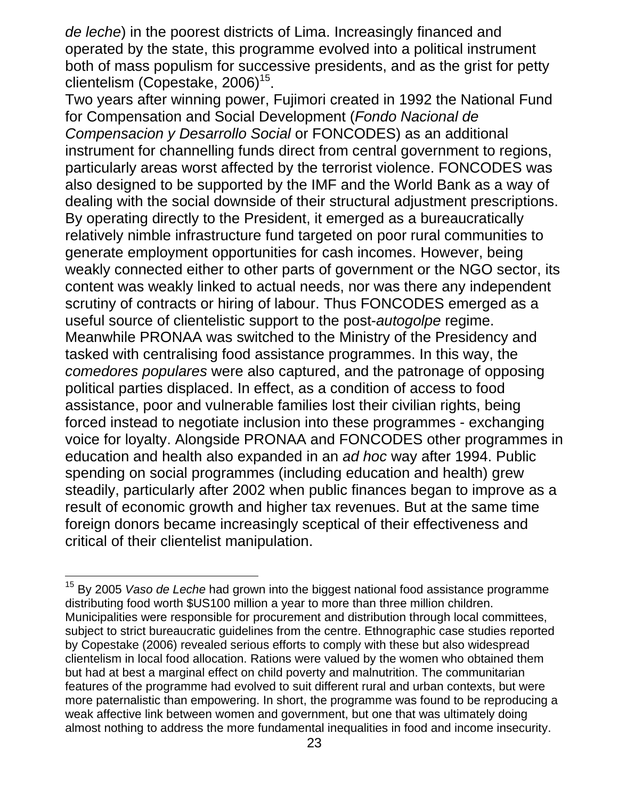*de leche*) in the poorest districts of Lima. Increasingly financed and operated by the state, this programme evolved into a political instrument both of mass populism for successive presidents, and as the grist for petty clientelism (Copestake, 2006)<sup>15</sup>.

Two years after winning power, Fujimori created in 1992 the National Fund for Compensation and Social Development (*Fondo Nacional de Compensacion y Desarrollo Social* or FONCODES) as an additional instrument for channelling funds direct from central government to regions, particularly areas worst affected by the terrorist violence. FONCODES was also designed to be supported by the IMF and the World Bank as a way of dealing with the social downside of their structural adjustment prescriptions. By operating directly to the President, it emerged as a bureaucratically relatively nimble infrastructure fund targeted on poor rural communities to generate employment opportunities for cash incomes. However, being weakly connected either to other parts of government or the NGO sector, its content was weakly linked to actual needs, nor was there any independent scrutiny of contracts or hiring of labour. Thus FONCODES emerged as a useful source of clientelistic support to the post-*autogolpe* regime. Meanwhile PRONAA was switched to the Ministry of the Presidency and tasked with centralising food assistance programmes. In this way, the *comedores populares* were also captured, and the patronage of opposing political parties displaced. In effect, as a condition of access to food assistance, poor and vulnerable families lost their civilian rights, being forced instead to negotiate inclusion into these programmes - exchanging voice for loyalty. Alongside PRONAA and FONCODES other programmes in education and health also expanded in an *ad hoc* way after 1994. Public spending on social programmes (including education and health) grew steadily, particularly after 2002 when public finances began to improve as a result of economic growth and higher tax revenues. But at the same time foreign donors became increasingly sceptical of their effectiveness and critical of their clientelist manipulation.

<sup>15</sup> By 2005 *Vaso de Leche* had grown into the biggest national food assistance programme distributing food worth \$US100 million a year to more than three million children. Municipalities were responsible for procurement and distribution through local committees, subject to strict bureaucratic guidelines from the centre. Ethnographic case studies reported by Copestake (2006) revealed serious efforts to comply with these but also widespread clientelism in local food allocation. Rations were valued by the women who obtained them but had at best a marginal effect on child poverty and malnutrition. The communitarian features of the programme had evolved to suit different rural and urban contexts, but were more paternalistic than empowering. In short, the programme was found to be reproducing a weak affective link between women and government, but one that was ultimately doing almost nothing to address the more fundamental inequalities in food and income insecurity.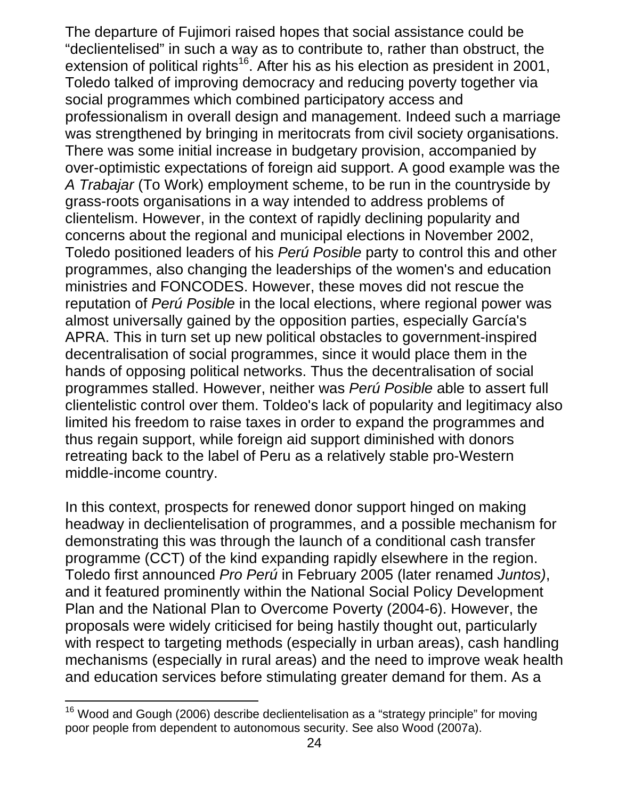The departure of Fujimori raised hopes that social assistance could be "declientelised" in such a way as to contribute to, rather than obstruct, the extension of political rights<sup>16</sup>. After his as his election as president in 2001, Toledo talked of improving democracy and reducing poverty together via social programmes which combined participatory access and professionalism in overall design and management. Indeed such a marriage was strengthened by bringing in meritocrats from civil society organisations. There was some initial increase in budgetary provision, accompanied by over-optimistic expectations of foreign aid support. A good example was the *A Trabajar* (To Work) employment scheme, to be run in the countryside by grass-roots organisations in a way intended to address problems of clientelism. However, in the context of rapidly declining popularity and concerns about the regional and municipal elections in November 2002, Toledo positioned leaders of his *Perú Posible* party to control this and other programmes, also changing the leaderships of the women's and education ministries and FONCODES. However, these moves did not rescue the reputation of *Perú Posible* in the local elections, where regional power was almost universally gained by the opposition parties, especially García's APRA. This in turn set up new political obstacles to government-inspired decentralisation of social programmes, since it would place them in the hands of opposing political networks. Thus the decentralisation of social programmes stalled. However, neither was *Perú Posible* able to assert full clientelistic control over them. Toldeo's lack of popularity and legitimacy also limited his freedom to raise taxes in order to expand the programmes and thus regain support, while foreign aid support diminished with donors retreating back to the label of Peru as a relatively stable pro-Western middle-income country.

In this context, prospects for renewed donor support hinged on making headway in declientelisation of programmes, and a possible mechanism for demonstrating this was through the launch of a conditional cash transfer programme (CCT) of the kind expanding rapidly elsewhere in the region. Toledo first announced *Pro Perú* in February 2005 (later renamed *Juntos)*, and it featured prominently within the National Social Policy Development Plan and the National Plan to Overcome Poverty (2004-6). However, the proposals were widely criticised for being hastily thought out, particularly with respect to targeting methods (especially in urban areas), cash handling mechanisms (especially in rural areas) and the need to improve weak health and education services before stimulating greater demand for them. As a

 $\overline{a}$ 

 $16$  Wood and Gough (2006) describe declientelisation as a "strategy principle" for moving poor people from dependent to autonomous security. See also Wood (2007a).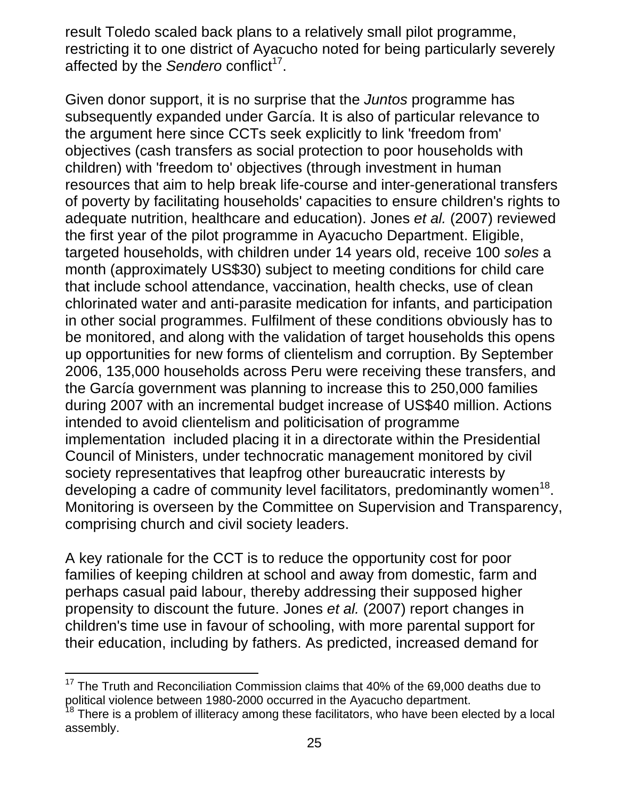result Toledo scaled back plans to a relatively small pilot programme, restricting it to one district of Ayacucho noted for being particularly severely affected by the *Sendero* conflict<sup>17</sup>.

Given donor support, it is no surprise that the *Juntos* programme has subsequently expanded under García. It is also of particular relevance to the argument here since CCTs seek explicitly to link 'freedom from' objectives (cash transfers as social protection to poor households with children) with 'freedom to' objectives (through investment in human resources that aim to help break life-course and inter-generational transfers of poverty by facilitating households' capacities to ensure children's rights to adequate nutrition, healthcare and education). Jones *et al.* (2007) reviewed the first year of the pilot programme in Ayacucho Department. Eligible, targeted households, with children under 14 years old, receive 100 *soles* a month (approximately US\$30) subject to meeting conditions for child care that include school attendance, vaccination, health checks, use of clean chlorinated water and anti-parasite medication for infants, and participation in other social programmes. Fulfilment of these conditions obviously has to be monitored, and along with the validation of target households this opens up opportunities for new forms of clientelism and corruption. By September 2006, 135,000 households across Peru were receiving these transfers, and the García government was planning to increase this to 250,000 families during 2007 with an incremental budget increase of US\$40 million. Actions intended to avoid clientelism and politicisation of programme implementation included placing it in a directorate within the Presidential Council of Ministers, under technocratic management monitored by civil society representatives that leapfrog other bureaucratic interests by developing a cadre of community level facilitators, predominantly women<sup>18</sup>. Monitoring is overseen by the Committee on Supervision and Transparency, comprising church and civil society leaders.

A key rationale for the CCT is to reduce the opportunity cost for poor families of keeping children at school and away from domestic, farm and perhaps casual paid labour, thereby addressing their supposed higher propensity to discount the future. Jones *et al.* (2007) report changes in children's time use in favour of schooling, with more parental support for their education, including by fathers. As predicted, increased demand for

<sup>&</sup>lt;sup>17</sup> The Truth and Reconciliation Commission claims that 40% of the 69,000 deaths due to political violence between 1980-2000 occurred in the Ayacucho department.

<sup>&</sup>lt;sup>18</sup> There is a problem of illiteracy among these facilitators, who have been elected by a local assembly.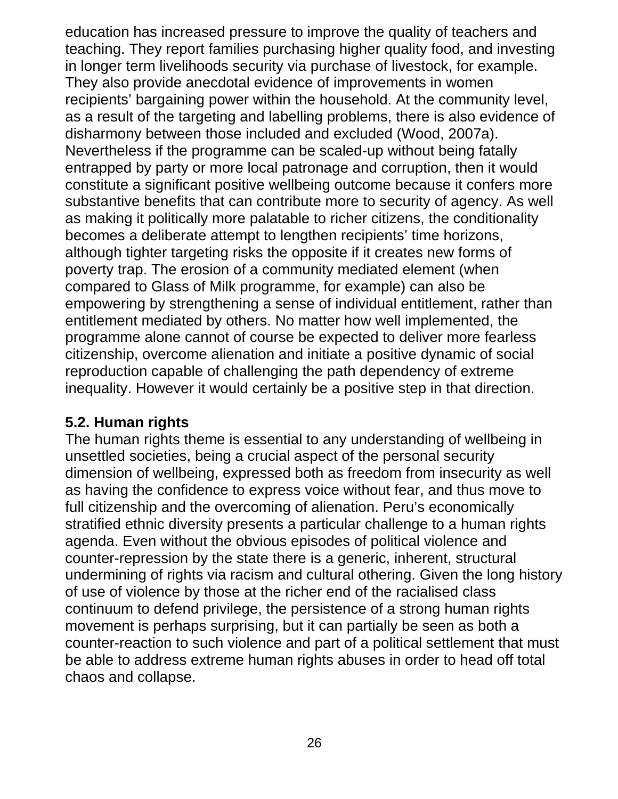education has increased pressure to improve the quality of teachers and teaching. They report families purchasing higher quality food, and investing in longer term livelihoods security via purchase of livestock, for example. They also provide anecdotal evidence of improvements in women recipients' bargaining power within the household. At the community level, as a result of the targeting and labelling problems, there is also evidence of disharmony between those included and excluded (Wood, 2007a). Nevertheless if the programme can be scaled-up without being fatally entrapped by party or more local patronage and corruption, then it would constitute a significant positive wellbeing outcome because it confers more substantive benefits that can contribute more to security of agency. As well as making it politically more palatable to richer citizens, the conditionality becomes a deliberate attempt to lengthen recipients' time horizons, although tighter targeting risks the opposite if it creates new forms of poverty trap. The erosion of a community mediated element (when compared to Glass of Milk programme, for example) can also be empowering by strengthening a sense of individual entitlement, rather than entitlement mediated by others. No matter how well implemented, the programme alone cannot of course be expected to deliver more fearless citizenship, overcome alienation and initiate a positive dynamic of social reproduction capable of challenging the path dependency of extreme inequality. However it would certainly be a positive step in that direction.

### **5.2. Human rights**

The human rights theme is essential to any understanding of wellbeing in unsettled societies, being a crucial aspect of the personal security dimension of wellbeing, expressed both as freedom from insecurity as well as having the confidence to express voice without fear, and thus move to full citizenship and the overcoming of alienation. Peru's economically stratified ethnic diversity presents a particular challenge to a human rights agenda. Even without the obvious episodes of political violence and counter-repression by the state there is a generic, inherent, structural undermining of rights via racism and cultural othering. Given the long history of use of violence by those at the richer end of the racialised class continuum to defend privilege, the persistence of a strong human rights movement is perhaps surprising, but it can partially be seen as both a counter-reaction to such violence and part of a political settlement that must be able to address extreme human rights abuses in order to head off total chaos and collapse.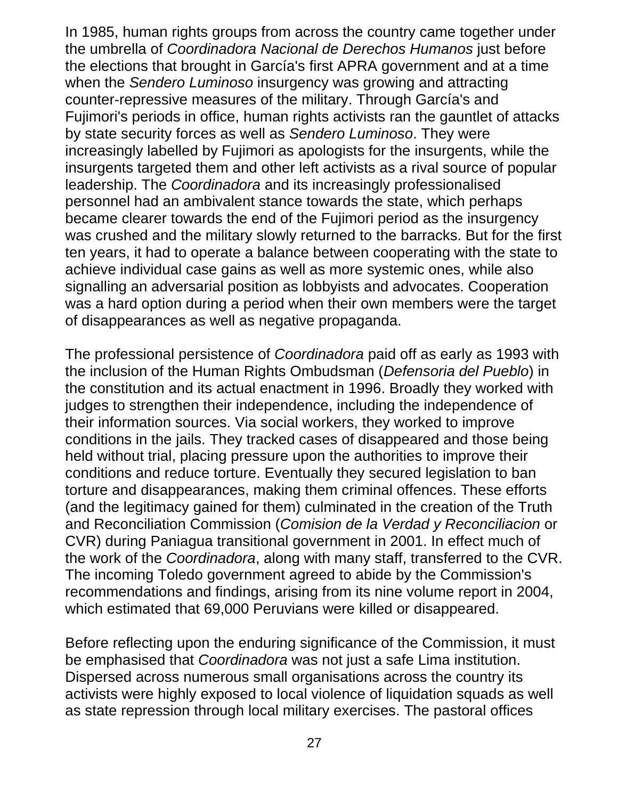In 1985, human rights groups from across the country came together under the umbrella of *Coordinadora Nacional de Derechos Humanos* just before the elections that brought in García's first APRA government and at a time when the *Sendero Luminoso* insurgency was growing and attracting counter-repressive measures of the military. Through García's and Fujimori's periods in office, human rights activists ran the gauntlet of attacks by state security forces as well as *Sendero Luminoso*. They were increasingly labelled by Fujimori as apologists for the insurgents, while the insurgents targeted them and other left activists as a rival source of popular leadership. The *Coordinadora* and its increasingly professionalised personnel had an ambivalent stance towards the state, which perhaps became clearer towards the end of the Fujimori period as the insurgency was crushed and the military slowly returned to the barracks. But for the first ten years, it had to operate a balance between cooperating with the state to achieve individual case gains as well as more systemic ones, while also signalling an adversarial position as lobbyists and advocates. Cooperation was a hard option during a period when their own members were the target of disappearances as well as negative propaganda.

The professional persistence of *Coordinadora* paid off as early as 1993 with the inclusion of the Human Rights Ombudsman (*Defensoria del Pueblo*) in the constitution and its actual enactment in 1996. Broadly they worked with judges to strengthen their independence, including the independence of their information sources. Via social workers, they worked to improve conditions in the jails. They tracked cases of disappeared and those being held without trial, placing pressure upon the authorities to improve their conditions and reduce torture. Eventually they secured legislation to ban torture and disappearances, making them criminal offences. These efforts (and the legitimacy gained for them) culminated in the creation of the Truth and Reconciliation Commission (*Comision de la Verdad y Reconciliacion* or CVR) during Paniagua transitional government in 2001. In effect much of the work of the *Coordinadora*, along with many staff, transferred to the CVR. The incoming Toledo government agreed to abide by the Commission's recommendations and findings, arising from its nine volume report in 2004, which estimated that 69,000 Peruvians were killed or disappeared.

Before reflecting upon the enduring significance of the Commission, it must be emphasised that *Coordinadora* was not just a safe Lima institution. Dispersed across numerous small organisations across the country its activists were highly exposed to local violence of liquidation squads as well as state repression through local military exercises. The pastoral offices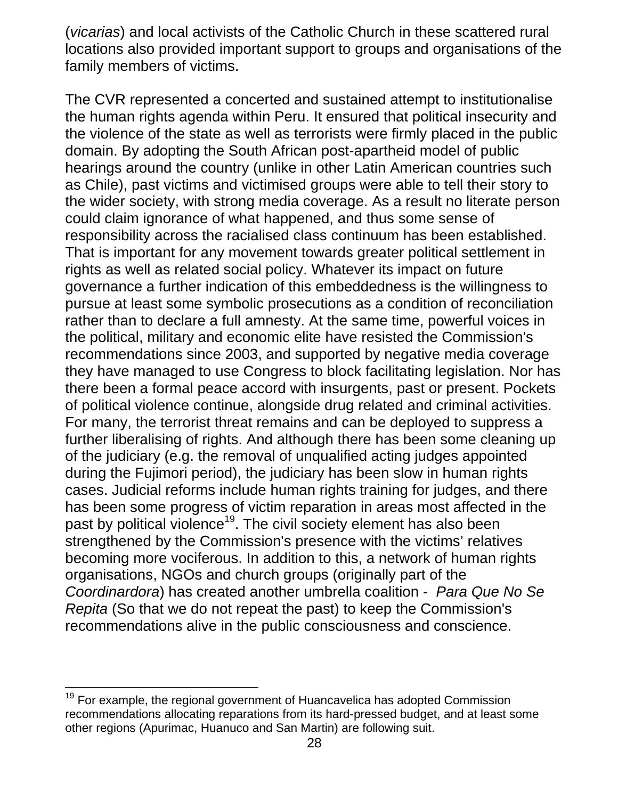(*vicarias*) and local activists of the Catholic Church in these scattered rural locations also provided important support to groups and organisations of the family members of victims.

The CVR represented a concerted and sustained attempt to institutionalise the human rights agenda within Peru. It ensured that political insecurity and the violence of the state as well as terrorists were firmly placed in the public domain. By adopting the South African post-apartheid model of public hearings around the country (unlike in other Latin American countries such as Chile), past victims and victimised groups were able to tell their story to the wider society, with strong media coverage. As a result no literate person could claim ignorance of what happened, and thus some sense of responsibility across the racialised class continuum has been established. That is important for any movement towards greater political settlement in rights as well as related social policy. Whatever its impact on future governance a further indication of this embeddedness is the willingness to pursue at least some symbolic prosecutions as a condition of reconciliation rather than to declare a full amnesty. At the same time, powerful voices in the political, military and economic elite have resisted the Commission's recommendations since 2003, and supported by negative media coverage they have managed to use Congress to block facilitating legislation. Nor has there been a formal peace accord with insurgents, past or present. Pockets of political violence continue, alongside drug related and criminal activities. For many, the terrorist threat remains and can be deployed to suppress a further liberalising of rights. And although there has been some cleaning up of the judiciary (e.g. the removal of unqualified acting judges appointed during the Fujimori period), the judiciary has been slow in human rights cases. Judicial reforms include human rights training for judges, and there has been some progress of victim reparation in areas most affected in the past by political violence<sup>19</sup>. The civil society element has also been strengthened by the Commission's presence with the victims' relatives becoming more vociferous. In addition to this, a network of human rights organisations, NGOs and church groups (originally part of the *Coordinardora*) has created another umbrella coalition - *Para Que No Se Repita* (So that we do not repeat the past) to keep the Commission's recommendations alive in the public consciousness and conscience.

 $\overline{a}$ 

<sup>&</sup>lt;sup>19</sup> For example, the regional government of Huancavelica has adopted Commission recommendations allocating reparations from its hard-pressed budget, and at least some other regions (Apurimac, Huanuco and San Martin) are following suit.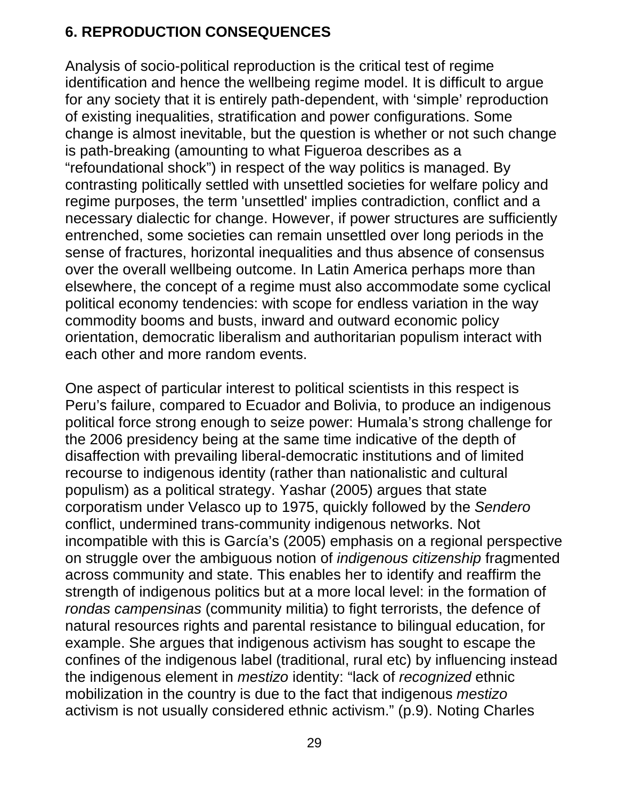## **6. REPRODUCTION CONSEQUENCES**

Analysis of socio-political reproduction is the critical test of regime identification and hence the wellbeing regime model. It is difficult to argue for any society that it is entirely path-dependent, with 'simple' reproduction of existing inequalities, stratification and power configurations. Some change is almost inevitable, but the question is whether or not such change is path-breaking (amounting to what Figueroa describes as a "refoundational shock") in respect of the way politics is managed. By contrasting politically settled with unsettled societies for welfare policy and regime purposes, the term 'unsettled' implies contradiction, conflict and a necessary dialectic for change. However, if power structures are sufficiently entrenched, some societies can remain unsettled over long periods in the sense of fractures, horizontal inequalities and thus absence of consensus over the overall wellbeing outcome. In Latin America perhaps more than elsewhere, the concept of a regime must also accommodate some cyclical political economy tendencies: with scope for endless variation in the way commodity booms and busts, inward and outward economic policy orientation, democratic liberalism and authoritarian populism interact with each other and more random events.

One aspect of particular interest to political scientists in this respect is Peru's failure, compared to Ecuador and Bolivia, to produce an indigenous political force strong enough to seize power: Humala's strong challenge for the 2006 presidency being at the same time indicative of the depth of disaffection with prevailing liberal-democratic institutions and of limited recourse to indigenous identity (rather than nationalistic and cultural populism) as a political strategy. Yashar (2005) argues that state corporatism under Velasco up to 1975, quickly followed by the *Sendero*  conflict, undermined trans-community indigenous networks. Not incompatible with this is García's (2005) emphasis on a regional perspective on struggle over the ambiguous notion of *indigenous citizenship* fragmented across community and state. This enables her to identify and reaffirm the strength of indigenous politics but at a more local level: in the formation of *rondas campensinas* (community militia) to fight terrorists, the defence of natural resources rights and parental resistance to bilingual education, for example. She argues that indigenous activism has sought to escape the confines of the indigenous label (traditional, rural etc) by influencing instead the indigenous element in *mestizo* identity: "lack of *recognized* ethnic mobilization in the country is due to the fact that indigenous *mestizo* activism is not usually considered ethnic activism." (p.9). Noting Charles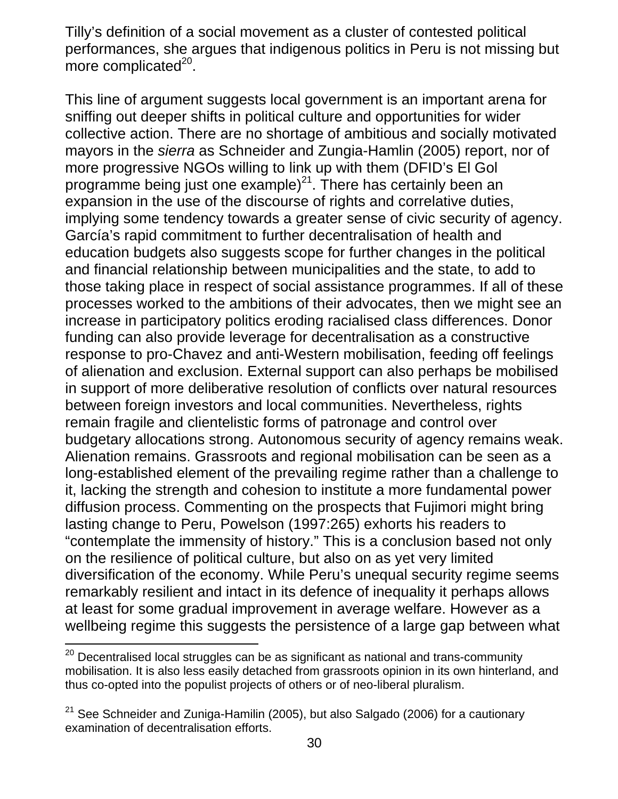Tilly's definition of a social movement as a cluster of contested political performances, she argues that indigenous politics in Peru is not missing but more complicated $^{20}$ .

This line of argument suggests local government is an important arena for sniffing out deeper shifts in political culture and opportunities for wider collective action. There are no shortage of ambitious and socially motivated mayors in the *sierra* as Schneider and Zungia-Hamlin (2005) report, nor of more progressive NGOs willing to link up with them (DFID's El Gol programme being just one example) $2<sup>1</sup>$ . There has certainly been an expansion in the use of the discourse of rights and correlative duties, implying some tendency towards a greater sense of civic security of agency. García's rapid commitment to further decentralisation of health and education budgets also suggests scope for further changes in the political and financial relationship between municipalities and the state, to add to those taking place in respect of social assistance programmes. If all of these processes worked to the ambitions of their advocates, then we might see an increase in participatory politics eroding racialised class differences. Donor funding can also provide leverage for decentralisation as a constructive response to pro-Chavez and anti-Western mobilisation, feeding off feelings of alienation and exclusion. External support can also perhaps be mobilised in support of more deliberative resolution of conflicts over natural resources between foreign investors and local communities. Nevertheless, rights remain fragile and clientelistic forms of patronage and control over budgetary allocations strong. Autonomous security of agency remains weak. Alienation remains. Grassroots and regional mobilisation can be seen as a long-established element of the prevailing regime rather than a challenge to it, lacking the strength and cohesion to institute a more fundamental power diffusion process. Commenting on the prospects that Fujimori might bring lasting change to Peru, Powelson (1997:265) exhorts his readers to "contemplate the immensity of history." This is a conclusion based not only on the resilience of political culture, but also on as yet very limited diversification of the economy. While Peru's unequal security regime seems remarkably resilient and intact in its defence of inequality it perhaps allows at least for some gradual improvement in average welfare. However as a wellbeing regime this suggests the persistence of a large gap between what  $\overline{a}$ 

 $^{20}$  Decentralised local struggles can be as significant as national and trans-community mobilisation. It is also less easily detached from grassroots opinion in its own hinterland, and thus co-opted into the populist projects of others or of neo-liberal pluralism.

 $21$  See Schneider and Zuniga-Hamilin (2005), but also Salgado (2006) for a cautionary examination of decentralisation efforts.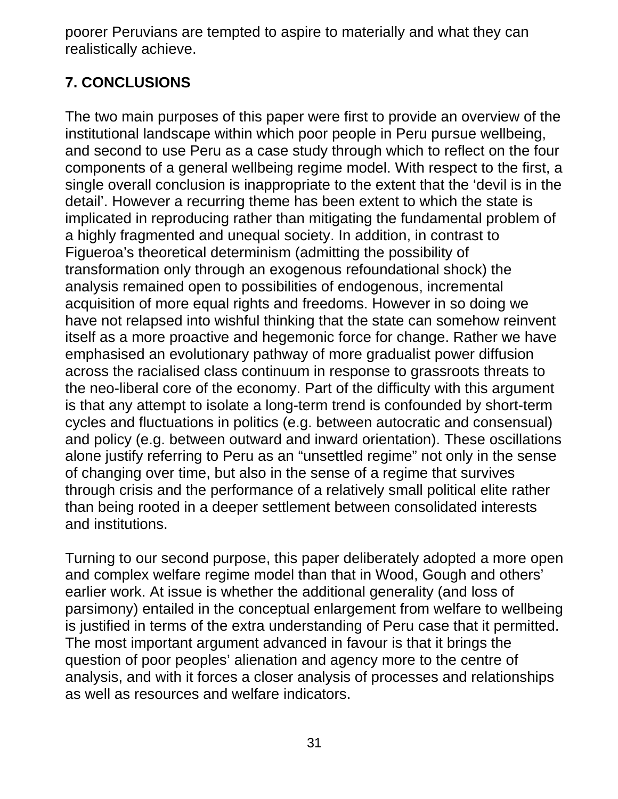poorer Peruvians are tempted to aspire to materially and what they can realistically achieve.

# **7. CONCLUSIONS**

The two main purposes of this paper were first to provide an overview of the institutional landscape within which poor people in Peru pursue wellbeing, and second to use Peru as a case study through which to reflect on the four components of a general wellbeing regime model. With respect to the first, a single overall conclusion is inappropriate to the extent that the 'devil is in the detail'. However a recurring theme has been extent to which the state is implicated in reproducing rather than mitigating the fundamental problem of a highly fragmented and unequal society. In addition, in contrast to Figueroa's theoretical determinism (admitting the possibility of transformation only through an exogenous refoundational shock) the analysis remained open to possibilities of endogenous, incremental acquisition of more equal rights and freedoms. However in so doing we have not relapsed into wishful thinking that the state can somehow reinvent itself as a more proactive and hegemonic force for change. Rather we have emphasised an evolutionary pathway of more gradualist power diffusion across the racialised class continuum in response to grassroots threats to the neo-liberal core of the economy. Part of the difficulty with this argument is that any attempt to isolate a long-term trend is confounded by short-term cycles and fluctuations in politics (e.g. between autocratic and consensual) and policy (e.g. between outward and inward orientation). These oscillations alone justify referring to Peru as an "unsettled regime" not only in the sense of changing over time, but also in the sense of a regime that survives through crisis and the performance of a relatively small political elite rather than being rooted in a deeper settlement between consolidated interests and institutions.

Turning to our second purpose, this paper deliberately adopted a more open and complex welfare regime model than that in Wood, Gough and others' earlier work. At issue is whether the additional generality (and loss of parsimony) entailed in the conceptual enlargement from welfare to wellbeing is justified in terms of the extra understanding of Peru case that it permitted. The most important argument advanced in favour is that it brings the question of poor peoples' alienation and agency more to the centre of analysis, and with it forces a closer analysis of processes and relationships as well as resources and welfare indicators.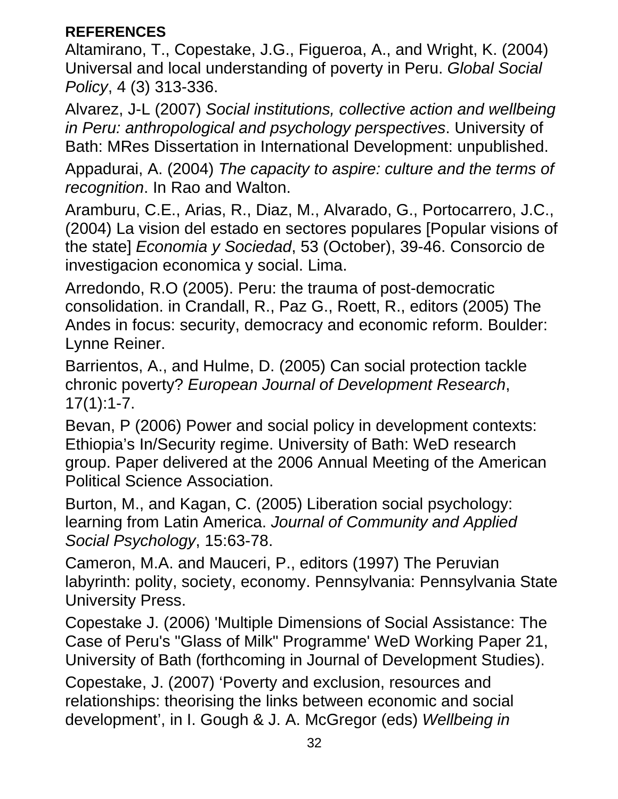# **REFERENCES**

Altamirano, T., Copestake, J.G., Figueroa, A., and Wright, K. (2004) Universal and local understanding of poverty in Peru. *Global Social Policy*, 4 (3) 313-336.

Alvarez, J-L (2007) *Social institutions, collective action and wellbeing in Peru: anthropological and psychology perspectives*. University of Bath: MRes Dissertation in International Development: unpublished.

Appadurai, A. (2004) *The capacity to aspire: culture and the terms of recognition*. In Rao and Walton.

Aramburu, C.E., Arias, R., Diaz, M., Alvarado, G., Portocarrero, J.C., (2004) La vision del estado en sectores populares [Popular visions of the state] *Economia y Sociedad*, 53 (October), 39-46. Consorcio de investigacion economica y social. Lima.

Arredondo, R.O (2005). Peru: the trauma of post-democratic consolidation. in Crandall, R., Paz G., Roett, R., editors (2005) The Andes in focus: security, democracy and economic reform. Boulder: Lynne Reiner.

Barrientos, A., and Hulme, D. (2005) Can social protection tackle chronic poverty? *European Journal of Development Research*, 17(1):1-7.

Bevan, P (2006) Power and social policy in development contexts: Ethiopia's In/Security regime. University of Bath: WeD research group. Paper delivered at the 2006 Annual Meeting of the American Political Science Association.

Burton, M., and Kagan, C. (2005) Liberation social psychology: learning from Latin America. *Journal of Community and Applied Social Psychology*, 15:63-78.

Cameron, M.A. and Mauceri, P., editors (1997) The Peruvian labyrinth: polity, society, economy. Pennsylvania: Pennsylvania State University Press.

Copestake J. (2006) 'Multiple Dimensions of Social Assistance: The Case of Peru's "Glass of Milk" Programme' WeD Working Paper 21, University of Bath (forthcoming in Journal of Development Studies).

Copestake, J. (2007) 'Poverty and exclusion, resources and relationships: theorising the links between economic and social development', in I. Gough & J. A. McGregor (eds) *Wellbeing in*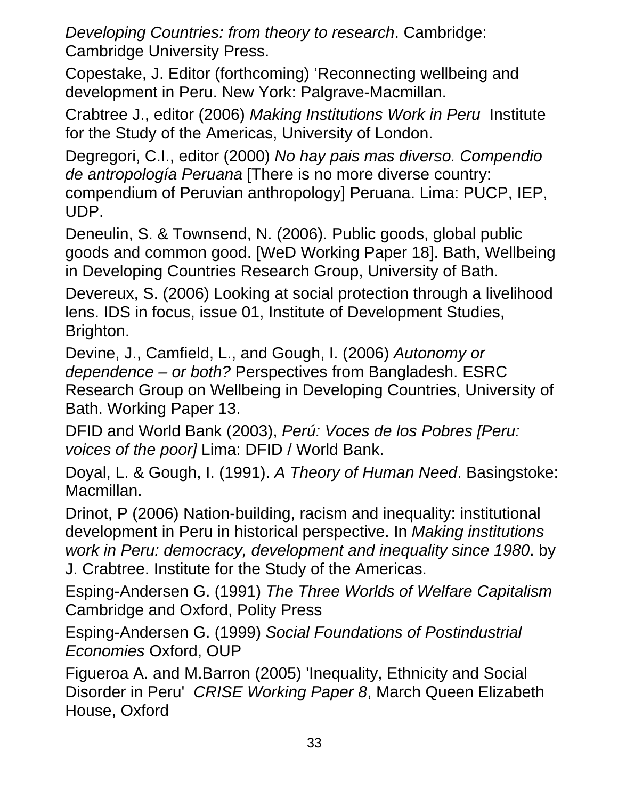*Developing Countries: from theory to research*. Cambridge: Cambridge University Press.

Copestake, J. Editor (forthcoming) 'Reconnecting wellbeing and development in Peru. New York: Palgrave-Macmillan.

Crabtree J., editor (2006) *Making Institutions Work in Peru* Institute for the Study of the Americas, University of London.

Degregori, C.I., editor (2000) *No hay pais mas diverso. Compendio de antropología Peruana* [There is no more diverse country: compendium of Peruvian anthropology] Peruana. Lima: PUCP, IEP, UDP.

Deneulin, S. & Townsend, N. (2006). Public goods, global public goods and common good. [WeD Working Paper 18]. Bath, Wellbeing in Developing Countries Research Group, University of Bath.

Devereux, S. (2006) Looking at social protection through a livelihood lens. IDS in focus, issue 01, Institute of Development Studies, Brighton.

Devine, J., Camfield, L., and Gough, I. (2006) *Autonomy or dependence – or both?* Perspectives from Bangladesh. ESRC Research Group on Wellbeing in Developing Countries, University of Bath. Working Paper 13.

DFID and World Bank (2003), *Perú: Voces de los Pobres [Peru: voices of the poor]* Lima: DFID / World Bank.

Doyal, L. & Gough, I. (1991). *A Theory of Human Need*. Basingstoke: Macmillan.

Drinot, P (2006) Nation-building, racism and inequality: institutional development in Peru in historical perspective. In *Making institutions work in Peru: democracy, development and inequality since 1980*. by J. Crabtree. Institute for the Study of the Americas.

Esping-Andersen G. (1991) *The Three Worlds of Welfare Capitalism* Cambridge and Oxford, Polity Press

Esping-Andersen G. (1999) *Social Foundations of Postindustrial Economies* Oxford, OUP

Figueroa A. and M.Barron (2005) 'Inequality, Ethnicity and Social Disorder in Peru' *CRISE Working Paper 8*, March Queen Elizabeth House, Oxford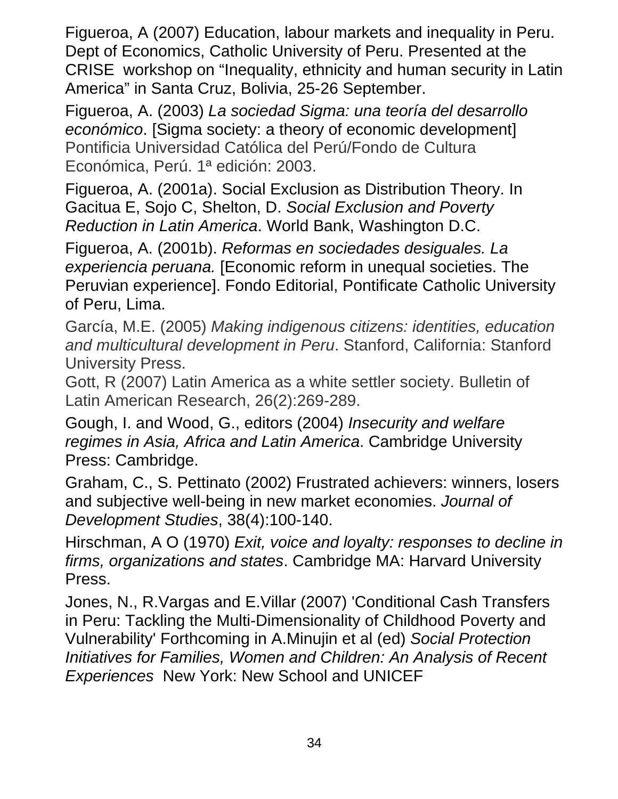Figueroa, A (2007) Education, labour markets and inequality in Peru. Dept of Economics, Catholic University of Peru. Presented at the CRISE workshop on "Inequality, ethnicity and human security in Latin America" in Santa Cruz, Bolivia, 25-26 September.

Figueroa, A. (2003) *La sociedad Sigma: una teoría del desarrollo económico*. [Sigma society: a theory of economic development] Pontificia Universidad Católica del Perú/Fondo de Cultura Económica, Perú. 1ª edición: 2003.

Figueroa, A. (2001a). Social Exclusion as Distribution Theory. In Gacitua E, Sojo C, Shelton, D. *Social Exclusion and Poverty Reduction in Latin America*. World Bank, Washington D.C.

Figueroa, A. (2001b). *Reformas en sociedades desiguales. La experiencia peruana.* [Economic reform in unequal societies. The Peruvian experience]. Fondo Editorial, Pontificate Catholic University of Peru, Lima.

García, M.E. (2005) *Making indigenous citizens: identities, education and multicultural development in Peru*. Stanford, California: Stanford University Press.

Gott, R (2007) Latin America as a white settler society. Bulletin of Latin American Research, 26(2):269-289.

Gough, I. and Wood, G., editors (2004) *Insecurity and welfare regimes in Asia, Africa and Latin America*. Cambridge University Press: Cambridge.

Graham, C., S. Pettinato (2002) Frustrated achievers: winners, losers and subjective well-being in new market economies. *Journal of Development Studies*, 38(4):100-140.

Hirschman, A O (1970) *Exit, voice and loyalty: responses to decline in firms, organizations and states*. Cambridge MA: Harvard University Press.

Jones, N., R.Vargas and E.Villar (2007) 'Conditional Cash Transfers in Peru: Tackling the Multi-Dimensionality of Childhood Poverty and Vulnerability' Forthcoming in A.Minujin et al (ed) *Social Protection Initiatives for Families, Women and Children: An Analysis of Recent Experiences* New York: New School and UNICEF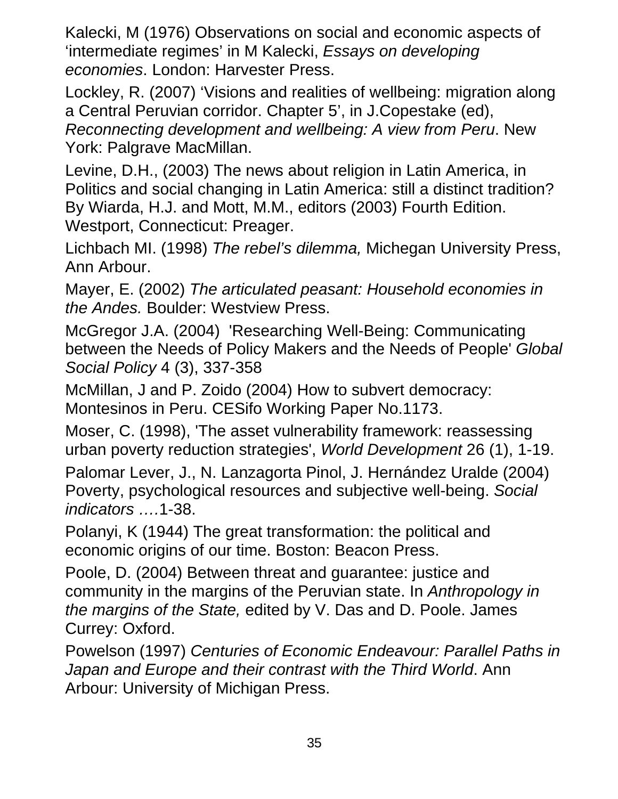Kalecki, M (1976) Observations on social and economic aspects of 'intermediate regimes' in M Kalecki, *Essays on developing economies*. London: Harvester Press.

Lockley, R. (2007) 'Visions and realities of wellbeing: migration along a Central Peruvian corridor. Chapter 5', in J.Copestake (ed), *Reconnecting development and wellbeing: A view from Peru*. New York: Palgrave MacMillan.

Levine, D.H., (2003) The news about religion in Latin America, in Politics and social changing in Latin America: still a distinct tradition? By Wiarda, H.J. and Mott, M.M., editors (2003) Fourth Edition. Westport, Connecticut: Preager.

Lichbach MI. (1998) *The rebel's dilemma,* Michegan University Press, Ann Arbour.

Mayer, E. (2002) *The articulated peasant: Household economies in the Andes.* Boulder: Westview Press.

McGregor J.A. (2004) 'Researching Well-Being: Communicating between the Needs of Policy Makers and the Needs of People' *Global Social Policy* 4 (3), 337-358

McMillan, J and P. Zoido (2004) How to subvert democracy: Montesinos in Peru. CESifo Working Paper No.1173.

Moser, C. (1998), 'The asset vulnerability framework: reassessing urban poverty reduction strategies', *World Development* 26 (1), 1-19.

Palomar Lever, J., N. Lanzagorta Pinol, J. Hernández Uralde (2004) Poverty, psychological resources and subjective well-being. *Social indicators ….*1-38.

Polanyi, K (1944) The great transformation: the political and economic origins of our time. Boston: Beacon Press.

Poole, D. (2004) Between threat and guarantee: justice and community in the margins of the Peruvian state. In *Anthropology in the margins of the State,* edited by V. Das and D. Poole. James Currey: Oxford.

Powelson (1997) *Centuries of Economic Endeavour: Parallel Paths in Japan and Europe and their contrast with the Third World*. Ann Arbour: University of Michigan Press.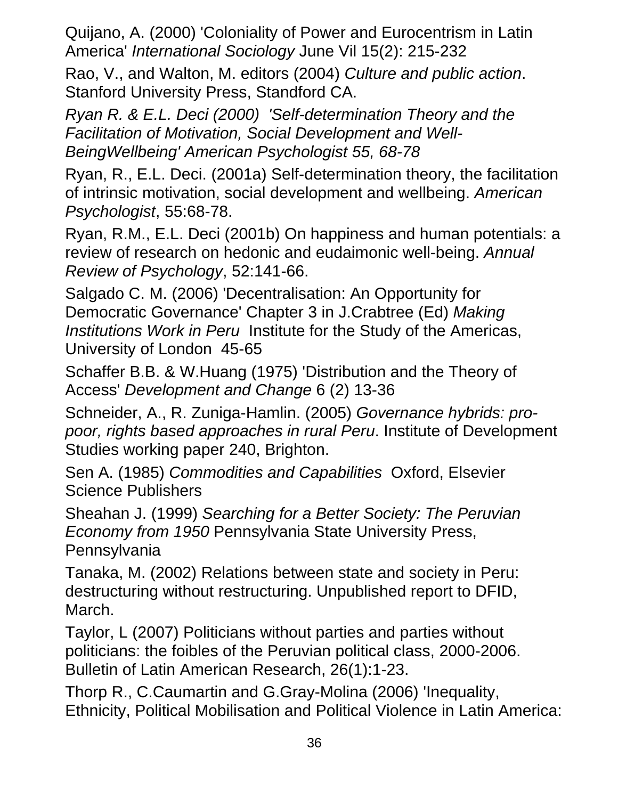Quijano, A. (2000) 'Coloniality of Power and Eurocentrism in Latin America' *International Sociology* June Vil 15(2): 215-232

Rao, V., and Walton, M. editors (2004) *Culture and public action*. Stanford University Press, Standford CA.

*Ryan R. & E.L. Deci (2000) 'Self-determination Theory and the Facilitation of Motivation, Social Development and Well-BeingWellbeing' American Psychologist 55, 68-78* 

Ryan, R., E.L. Deci. (2001a) Self-determination theory, the facilitation of intrinsic motivation, social development and wellbeing. *American Psychologist*, 55:68-78.

Ryan, R.M., E.L. Deci (2001b) On happiness and human potentials: a review of research on hedonic and eudaimonic well-being. *Annual Review of Psychology*, 52:141-66.

Salgado C. M. (2006) 'Decentralisation: An Opportunity for Democratic Governance' Chapter 3 in J.Crabtree (Ed) *Making Institutions Work in Peru* Institute for the Study of the Americas, University of London 45-65

Schaffer B.B. & W.Huang (1975) 'Distribution and the Theory of Access' *Development and Change* 6 (2) 13-36

Schneider, A., R. Zuniga-Hamlin. (2005) *Governance hybrids: propoor, rights based approaches in rural Peru*. Institute of Development Studies working paper 240, Brighton.

Sen A. (1985) *Commodities and Capabilities* Oxford, Elsevier Science Publishers

Sheahan J. (1999) *Searching for a Better Society: The Peruvian Economy from 1950* Pennsylvania State University Press, Pennsylvania

Tanaka, M. (2002) Relations between state and society in Peru: destructuring without restructuring. Unpublished report to DFID, March.

Taylor, L (2007) Politicians without parties and parties without politicians: the foibles of the Peruvian political class, 2000-2006. Bulletin of Latin American Research, 26(1):1-23.

Thorp R., C.Caumartin and G.Gray-Molina (2006) 'Inequality, Ethnicity, Political Mobilisation and Political Violence in Latin America: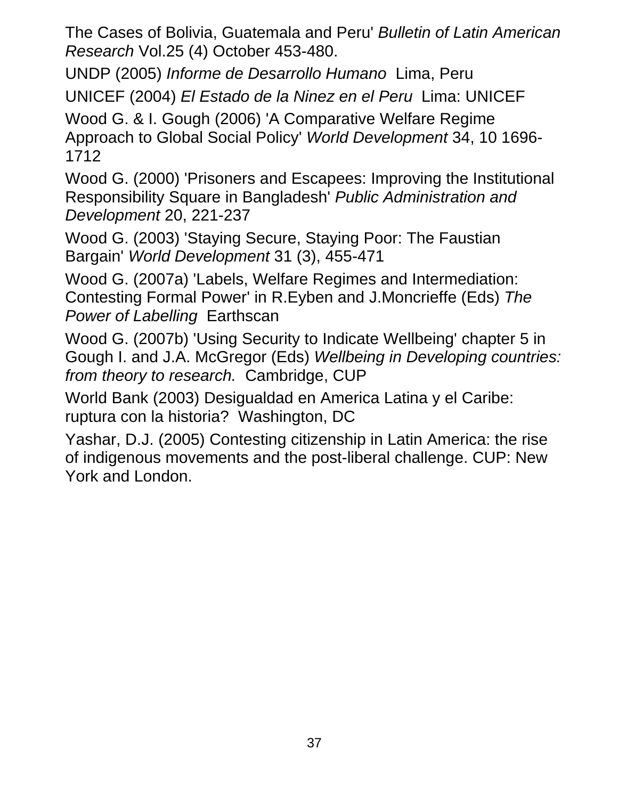The Cases of Bolivia, Guatemala and Peru' *Bulletin of Latin American Research* Vol.25 (4) October 453-480.

UNDP (2005) *Informe de Desarrollo Humano* Lima, Peru UNICEF (2004) *El Estado de la Ninez en el Peru* Lima: UNICEF Wood G. & I. Gough (2006) 'A Comparative Welfare Regime Approach to Global Social Policy' *World Development* 34, 10 1696- 1712

Wood G. (2000) 'Prisoners and Escapees: Improving the Institutional Responsibility Square in Bangladesh' *Public Administration and Development* 20, 221-237

Wood G. (2003) 'Staying Secure, Staying Poor: The Faustian Bargain' *World Development* 31 (3), 455-471

Wood G. (2007a) 'Labels, Welfare Regimes and Intermediation: Contesting Formal Power' in R.Eyben and J.Moncrieffe (Eds) *The Power of Labelling* Earthscan

Wood G. (2007b) 'Using Security to Indicate Wellbeing' chapter 5 in Gough I. and J.A. McGregor (Eds) *Wellbeing in Developing countries: from theory to research.* Cambridge, CUP

World Bank (2003) Desigualdad en America Latina y el Caribe: ruptura con la historia? Washington, DC

Yashar, D.J. (2005) Contesting citizenship in Latin America: the rise of indigenous movements and the post-liberal challenge. CUP: New York and London.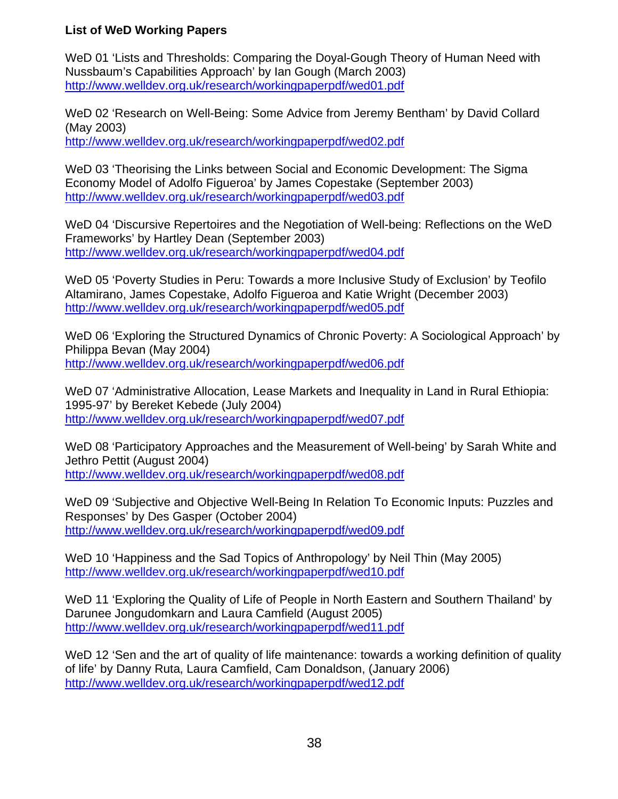#### **List of WeD Working Papers**

WeD 01 'Lists and Thresholds: Comparing the Doyal-Gough Theory of Human Need with Nussbaum's Capabilities Approach' by Ian Gough (March 2003) http://www.welldev.org.uk/research/workingpaperpdf/wed01.pdf

WeD 02 'Research on Well-Being: Some Advice from Jeremy Bentham' by David Collard (May 2003) http://www.welldev.org.uk/research/workingpaperpdf/wed02.pdf

WeD 03 'Theorising the Links between Social and Economic Development: The Sigma Economy Model of Adolfo Figueroa' by James Copestake (September 2003) http://www.welldev.org.uk/research/workingpaperpdf/wed03.pdf

WeD 04 'Discursive Repertoires and the Negotiation of Well-being: Reflections on the WeD Frameworks' by Hartley Dean (September 2003) http://www.welldev.org.uk/research/workingpaperpdf/wed04.pdf

WeD 05 'Poverty Studies in Peru: Towards a more Inclusive Study of Exclusion' by Teofilo Altamirano, James Copestake, Adolfo Figueroa and Katie Wright (December 2003) http://www.welldev.org.uk/research/workingpaperpdf/wed05.pdf

WeD 06 'Exploring the Structured Dynamics of Chronic Poverty: A Sociological Approach' by Philippa Bevan (May 2004) http://www.welldev.org.uk/research/workingpaperpdf/wed06.pdf

WeD 07 'Administrative Allocation, Lease Markets and Inequality in Land in Rural Ethiopia: 1995-97' by Bereket Kebede (July 2004) http://www.welldev.org.uk/research/workingpaperpdf/wed07.pdf

WeD 08 'Participatory Approaches and the Measurement of Well-being' by Sarah White and Jethro Pettit (August 2004)

http://www.welldev.org.uk/research/workingpaperpdf/wed08.pdf

WeD 09 'Subjective and Objective Well-Being In Relation To Economic Inputs: Puzzles and Responses' by Des Gasper (October 2004) http://www.welldev.org.uk/research/workingpaperpdf/wed09.pdf

WeD 10 'Happiness and the Sad Topics of Anthropology' by Neil Thin (May 2005) http://www.welldev.org.uk/research/workingpaperpdf/wed10.pdf

WeD 11 'Exploring the Quality of Life of People in North Eastern and Southern Thailand' by Darunee Jongudomkarn and Laura Camfield (August 2005) http://www.welldev.org.uk/research/workingpaperpdf/wed11.pdf

WeD 12 'Sen and the art of quality of life maintenance: towards a working definition of quality of life' by Danny Ruta, Laura Camfield, Cam Donaldson, (January 2006) http://www.welldev.org.uk/research/workingpaperpdf/wed12.pdf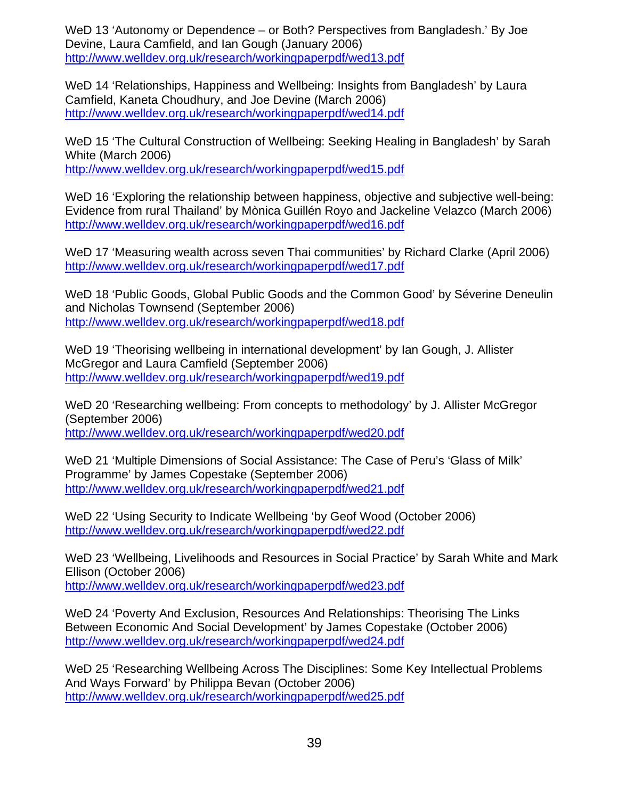WeD 13 'Autonomy or Dependence – or Both? Perspectives from Bangladesh.' By Joe Devine, Laura Camfield, and Ian Gough (January 2006) http://www.welldev.org.uk/research/workingpaperpdf/wed13.pdf

WeD 14 'Relationships, Happiness and Wellbeing: Insights from Bangladesh' by Laura Camfield, Kaneta Choudhury, and Joe Devine (March 2006) http://www.welldev.org.uk/research/workingpaperpdf/wed14.pdf

WeD 15 'The Cultural Construction of Wellbeing: Seeking Healing in Bangladesh' by Sarah White (March 2006)

http://www.welldev.org.uk/research/workingpaperpdf/wed15.pdf

WeD 16 'Exploring the relationship between happiness, objective and subjective well-being: Evidence from rural Thailand' by Mònica Guillén Royo and Jackeline Velazco (March 2006) http://www.welldev.org.uk/research/workingpaperpdf/wed16.pdf

WeD 17 'Measuring wealth across seven Thai communities' by Richard Clarke (April 2006) http://www.welldev.org.uk/research/workingpaperpdf/wed17.pdf

WeD 18 'Public Goods, Global Public Goods and the Common Good' by Séverine Deneulin and Nicholas Townsend (September 2006) http://www.welldev.org.uk/research/workingpaperpdf/wed18.pdf

WeD 19 'Theorising wellbeing in international development' by Ian Gough, J. Allister McGregor and Laura Camfield (September 2006) http://www.welldev.org.uk/research/workingpaperpdf/wed19.pdf

WeD 20 'Researching wellbeing: From concepts to methodology' by J. Allister McGregor (September 2006) http://www.welldev.org.uk/research/workingpaperpdf/wed20.pdf

WeD 21 'Multiple Dimensions of Social Assistance: The Case of Peru's 'Glass of Milk' Programme' by James Copestake (September 2006) http://www.welldev.org.uk/research/workingpaperpdf/wed21.pdf

WeD 22 'Using Security to Indicate Wellbeing 'by Geof Wood (October 2006) http://www.welldev.org.uk/research/workingpaperpdf/wed22.pdf

WeD 23 'Wellbeing, Livelihoods and Resources in Social Practice' by Sarah White and Mark Ellison (October 2006)

http://www.welldev.org.uk/research/workingpaperpdf/wed23.pdf

WeD 24 'Poverty And Exclusion, Resources And Relationships: Theorising The Links Between Economic And Social Development' by James Copestake (October 2006) http://www.welldev.org.uk/research/workingpaperpdf/wed24.pdf

WeD 25 'Researching Wellbeing Across The Disciplines: Some Key Intellectual Problems And Ways Forward' by Philippa Bevan (October 2006) http://www.welldev.org.uk/research/workingpaperpdf/wed25.pdf